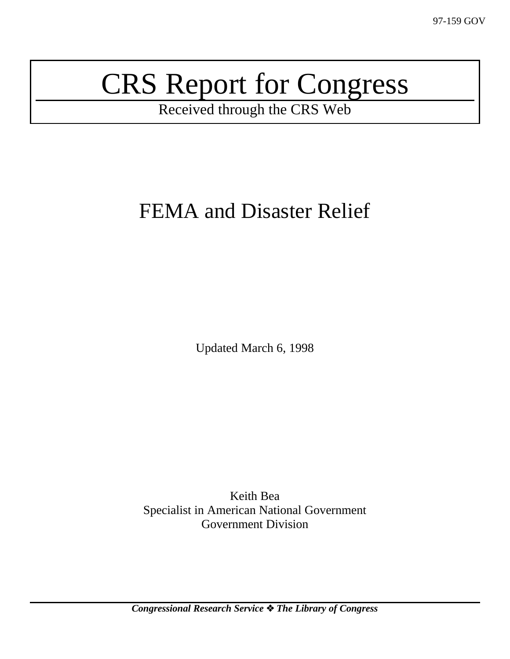# CRS Report for Congress

Received through the CRS Web

## FEMA and Disaster Relief

Updated March 6, 1998

Keith Bea Specialist in American National Government Government Division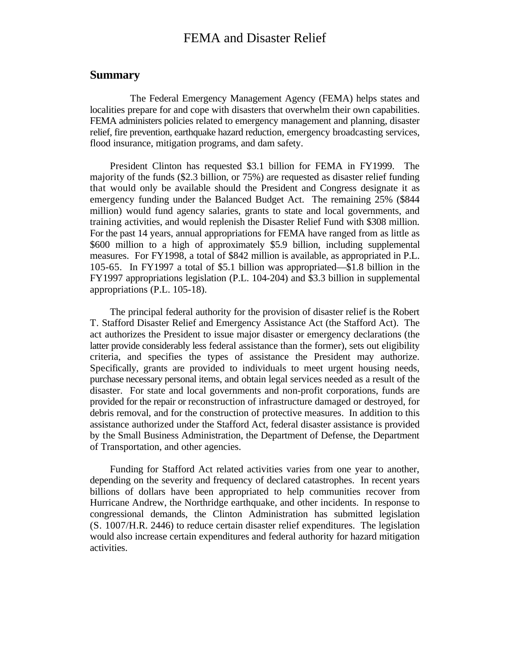## FEMA and Disaster Relief

#### **Summary**

The Federal Emergency Management Agency (FEMA) helps states and localities prepare for and cope with disasters that overwhelm their own capabilities. FEMA administers policies related to emergency management and planning, disaster relief, fire prevention, earthquake hazard reduction, emergency broadcasting services, flood insurance, mitigation programs, and dam safety.

President Clinton has requested \$3.1 billion for FEMA in FY1999. The majority of the funds (\$2.3 billion, or 75%) are requested as disaster relief funding that would only be available should the President and Congress designate it as emergency funding under the Balanced Budget Act. The remaining 25% (\$844 million) would fund agency salaries, grants to state and local governments, and training activities, and would replenish the Disaster Relief Fund with \$308 million. For the past 14 years, annual appropriations for FEMA have ranged from as little as \$600 million to a high of approximately \$5.9 billion, including supplemental measures. For FY1998, a total of \$842 million is available, as appropriated in P.L. 105-65. In FY1997 a total of \$5.1 billion was appropriated—\$1.8 billion in the FY1997 appropriations legislation (P.L. 104-204) and \$3.3 billion in supplemental appropriations (P.L. 105-18).

The principal federal authority for the provision of disaster relief is the Robert T. Stafford Disaster Relief and Emergency Assistance Act (the Stafford Act). The act authorizes the President to issue major disaster or emergency declarations (the latter provide considerably less federal assistance than the former), sets out eligibility criteria, and specifies the types of assistance the President may authorize. Specifically, grants are provided to individuals to meet urgent housing needs, purchase necessary personal items, and obtain legal services needed as a result of the disaster. For state and local governments and non-profit corporations, funds are provided for the repair or reconstruction of infrastructure damaged or destroyed, for debris removal, and for the construction of protective measures. In addition to this assistance authorized under the Stafford Act, federal disaster assistance is provided by the Small Business Administration, the Department of Defense, the Department of Transportation, and other agencies.

Funding for Stafford Act related activities varies from one year to another, depending on the severity and frequency of declared catastrophes. In recent years billions of dollars have been appropriated to help communities recover from Hurricane Andrew, the Northridge earthquake, and other incidents. In response to congressional demands, the Clinton Administration has submitted legislation (S. 1007/H.R. 2446) to reduce certain disaster relief expenditures. The legislation would also increase certain expenditures and federal authority for hazard mitigation activities.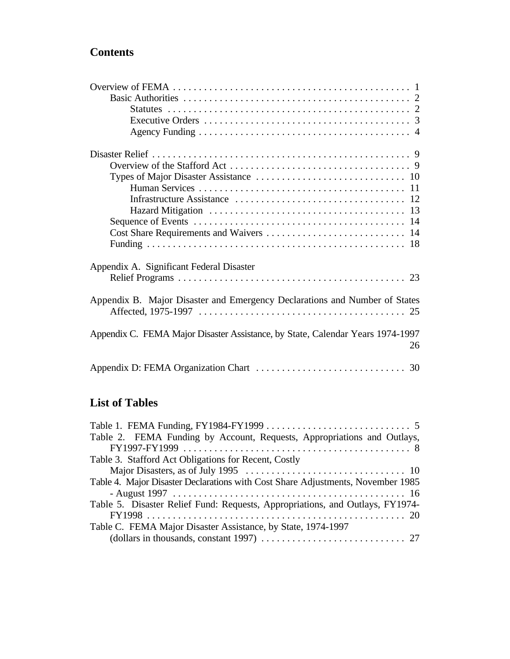## **Contents**

| Appendix A. Significant Federal Disaster                                             |
|--------------------------------------------------------------------------------------|
|                                                                                      |
| Appendix B. Major Disaster and Emergency Declarations and Number of States           |
| Appendix C. FEMA Major Disaster Assistance, by State, Calendar Years 1974-1997<br>26 |
|                                                                                      |

## **List of Tables**

| Table 2. FEMA Funding by Account, Requests, Appropriations and Outlays,         |
|---------------------------------------------------------------------------------|
|                                                                                 |
| Table 3. Stafford Act Obligations for Recent, Costly                            |
|                                                                                 |
| Table 4. Major Disaster Declarations with Cost Share Adjustments, November 1985 |
|                                                                                 |
| Table 5. Disaster Relief Fund: Requests, Appropriations, and Outlays, FY1974-   |
|                                                                                 |
| Table C. FEMA Major Disaster Assistance, by State, 1974-1997                    |
|                                                                                 |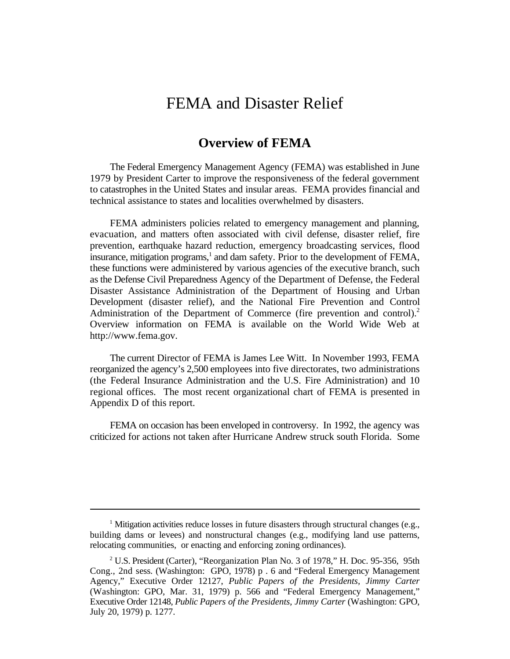## FEMA and Disaster Relief

## **Overview of FEMA**

The Federal Emergency Management Agency (FEMA) was established in June 1979 by President Carter to improve the responsiveness of the federal government to catastrophes in the United States and insular areas. FEMA provides financial and technical assistance to states and localities overwhelmed by disasters.

FEMA administers policies related to emergency management and planning, evacuation, and matters often associated with civil defense, disaster relief, fire prevention, earthquake hazard reduction, emergency broadcasting services, flood insurance, mitigation programs, $<sup>1</sup>$  and dam safety. Prior to the development of FEMA,</sup> these functions were administered by various agencies of the executive branch, such as the Defense Civil Preparedness Agency of the Department of Defense, the Federal Disaster Assistance Administration of the Department of Housing and Urban Development (disaster relief), and the National Fire Prevention and Control Administration of the Department of Commerce (fire prevention and control).<sup>2</sup> Overview information on FEMA is available on the World Wide Web at http://www.fema.gov.

The current Director of FEMA is James Lee Witt. In November 1993, FEMA reorganized the agency's 2,500 employees into five directorates, two administrations (the Federal Insurance Administration and the U.S. Fire Administration) and 10 regional offices. The most recent organizational chart of FEMA is presented in Appendix D of this report.

FEMA on occasion has been enveloped in controversy. In 1992, the agency was criticized for actions not taken after Hurricane Andrew struck south Florida. Some

<sup>&</sup>lt;sup>1</sup> Mitigation activities reduce losses in future disasters through structural changes (e.g., building dams or levees) and nonstructural changes (e.g., modifying land use patterns, relocating communities, or enacting and enforcing zoning ordinances).

 $2$  U.S. President (Carter), "Reorganization Plan No. 3 of 1978," H. Doc. 95-356, 95th Cong., 2nd sess. (Washington: GPO, 1978) p . 6 and "Federal Emergency Management Agency," Executive Order 12127, *Public Papers of the Presidents, Jimmy Carter* (Washington: GPO, Mar. 31, 1979) p. 566 and "Federal Emergency Management," Executive Order 12148, *Public Papers of the Presidents, Jimmy Carter* (Washington: GPO, July 20, 1979) p. 1277.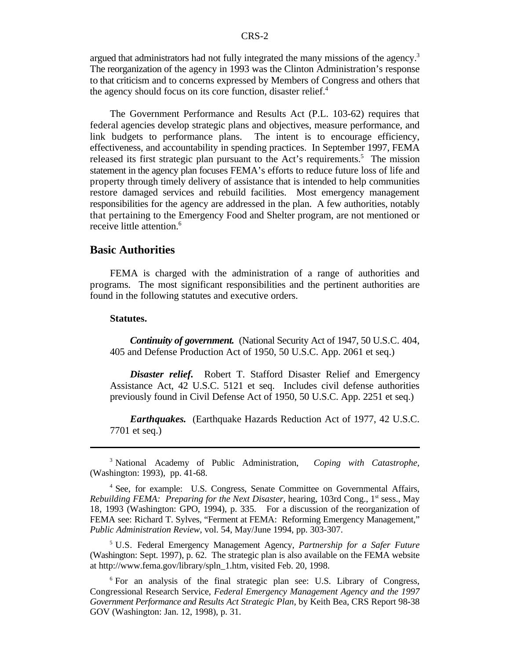argued that administrators had not fully integrated the many missions of the agency.<sup>3</sup> The reorganization of the agency in 1993 was the Clinton Administration's response to that criticism and to concerns expressed by Members of Congress and others that the agency should focus on its core function, disaster relief.<sup>4</sup>

The Government Performance and Results Act (P.L. 103-62) requires that federal agencies develop strategic plans and objectives, measure performance, and link budgets to performance plans. The intent is to encourage efficiency, effectiveness, and accountability in spending practices. In September 1997, FEMA released its first strategic plan pursuant to the Act's requirements.<sup>5</sup> The mission statement in the agency plan focuses FEMA's efforts to reduce future loss of life and property through timely delivery of assistance that is intended to help communities restore damaged services and rebuild facilities. Most emergency management responsibilities for the agency are addressed in the plan. A few authorities, notably that pertaining to the Emergency Food and Shelter program, are not mentioned or receive little attention.<sup>6</sup>

#### **Basic Authorities**

FEMA is charged with the administration of a range of authorities and programs. The most significant responsibilities and the pertinent authorities are found in the following statutes and executive orders.

#### **Statutes.**

*Continuity of government.* (National Security Act of 1947, 50 U.S.C. 404, 405 and Defense Production Act of 1950, 50 U.S.C. App. 2061 et seq.)

*Disaster relief.* Robert T. Stafford Disaster Relief and Emergency Assistance Act, 42 U.S.C. 5121 et seq. Includes civil defense authorities previously found in Civil Defense Act of 1950, 50 U.S.C. App. 2251 et seq.)

*Earthquakes.* (Earthquake Hazards Reduction Act of 1977, 42 U.S.C. 7701 et seq.)

U.S. Federal Emergency Management Agency, *Partnership for a Safer Future* 5 (Washington: Sept. 1997), p. 62. The strategic plan is also available on the FEMA website at http://www.fema.gov/library/spln\_1.htm, visited Feb. 20, 1998.

<sup>6</sup> For an analysis of the final strategic plan see: U.S. Library of Congress, Congressional Research Service, *Federal Emergency Management Agency and the 1997 Government Performance and Results Act Strategic Plan*, by Keith Bea, CRS Report 98-38 GOV (Washington: Jan. 12, 1998), p. 31.

<sup>&</sup>lt;sup>3</sup> National Academy of Public Administration, Coping with Catastrophe, (Washington: 1993), pp. 41-68.

<sup>&</sup>lt;sup>4</sup> See, for example: U.S. Congress, Senate Committee on Governmental Affairs, *Rebuilding FEMA: Preparing for the Next Disaster, hearing, 103rd Cong., 1st sess., May* 18, 1993 (Washington: GPO, 1994), p. 335. For a discussion of the reorganization of FEMA see: Richard T. Sylves, "Ferment at FEMA: Reforming Emergency Management," *Public Administration Review*, vol. 54, May/June 1994, pp. 303-307.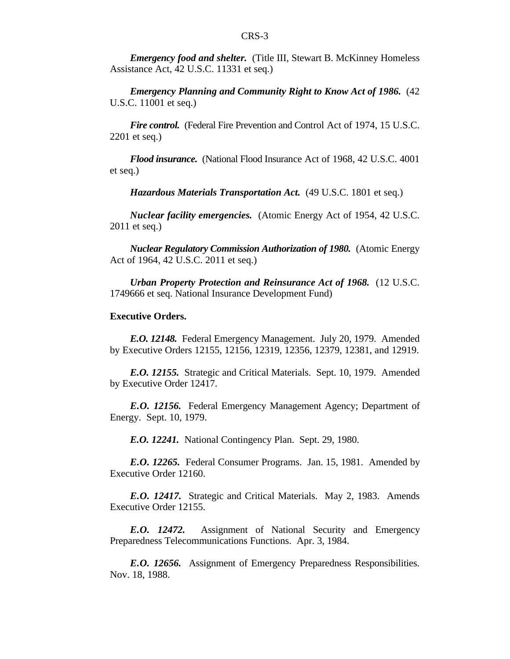*Emergency food and shelter.* (Title III, Stewart B. McKinney Homeless Assistance Act, 42 U.S.C. 11331 et seq.)

*Emergency Planning and Community Right to Know Act of 1986.* (42 U.S.C. 11001 et seq.)

*Fire control.* (Federal Fire Prevention and Control Act of 1974, 15 U.S.C. 2201 et seq.)

*Flood insurance.* (National Flood Insurance Act of 1968, 42 U.S.C. 4001 et seq.)

*Hazardous Materials Transportation Act.* (49 U.S.C. 1801 et seq.)

*Nuclear facility emergencies.* (Atomic Energy Act of 1954, 42 U.S.C. 2011 et seq.)

*Nuclear Regulatory Commission Authorization of 1980.* (Atomic Energy Act of 1964, 42 U.S.C. 2011 et seq.)

*Urban Property Protection and Reinsurance Act of 1968.* (12 U.S.C. 1749666 et seq. National Insurance Development Fund)

#### **Executive Orders.**

*E.O. 12148.* Federal Emergency Management. July 20, 1979. Amended by Executive Orders 12155, 12156, 12319, 12356, 12379, 12381, and 12919.

*E.O. 12155.* Strategic and Critical Materials. Sept. 10, 1979. Amended by Executive Order 12417.

*E.O. 12156.* Federal Emergency Management Agency; Department of Energy. Sept. 10, 1979.

*E.O. 12241.* National Contingency Plan. Sept. 29, 1980.

*E.O. 12265.* Federal Consumer Programs. Jan. 15, 1981. Amended by Executive Order 12160.

*E.O. 12417.* Strategic and Critical Materials. May 2, 1983. Amends Executive Order 12155.

*E.O. 12472.* Assignment of National Security and Emergency Preparedness Telecommunications Functions. Apr. 3, 1984.

*E.O. 12656.* Assignment of Emergency Preparedness Responsibilities. Nov. 18, 1988.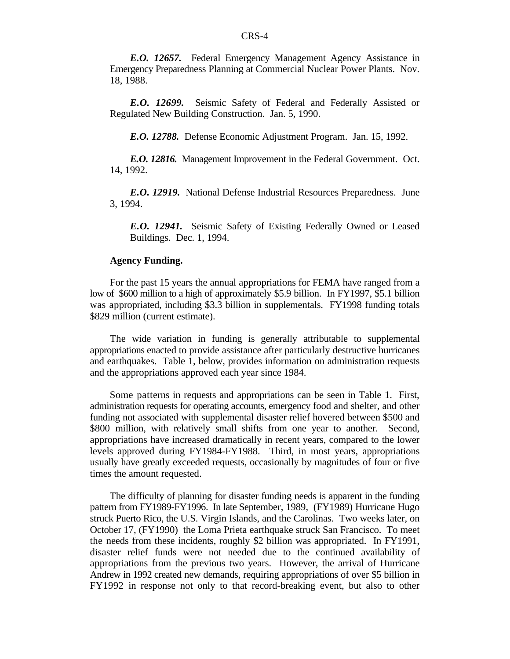*E.O. 12657.* Federal Emergency Management Agency Assistance in Emergency Preparedness Planning at Commercial Nuclear Power Plants. Nov. 18, 1988.

*E.O. 12699.* Seismic Safety of Federal and Federally Assisted or Regulated New Building Construction. Jan. 5, 1990.

*E.O. 12788.* Defense Economic Adjustment Program. Jan. 15, 1992.

*E.O. 12816.* Management Improvement in the Federal Government. Oct. 14, 1992.

*E.O. 12919.* National Defense Industrial Resources Preparedness. June 3, 1994.

*E.O. 12941.* Seismic Safety of Existing Federally Owned or Leased Buildings. Dec. 1, 1994.

#### **Agency Funding.**

For the past 15 years the annual appropriations for FEMA have ranged from a low of \$600 million to a high of approximately \$5.9 billion. In FY1997, \$5.1 billion was appropriated, including \$3.3 billion in supplementals. FY1998 funding totals \$829 million (current estimate).

The wide variation in funding is generally attributable to supplemental appropriations enacted to provide assistance after particularly destructive hurricanes and earthquakes. Table 1, below, provides information on administration requests and the appropriations approved each year since 1984.

Some patterns in requests and appropriations can be seen in Table 1. First, administration requests for operating accounts, emergency food and shelter, and other funding not associated with supplemental disaster relief hovered between \$500 and \$800 million, with relatively small shifts from one year to another. Second, appropriations have increased dramatically in recent years, compared to the lower levels approved during FY1984-FY1988. Third, in most years, appropriations usually have greatly exceeded requests, occasionally by magnitudes of four or five times the amount requested.

The difficulty of planning for disaster funding needs is apparent in the funding pattern from FY1989-FY1996. In late September, 1989, (FY1989) Hurricane Hugo struck Puerto Rico, the U.S. Virgin Islands, and the Carolinas. Two weeks later, on October 17, (FY1990) the Loma Prieta earthquake struck San Francisco. To meet the needs from these incidents, roughly \$2 billion was appropriated. In FY1991, disaster relief funds were not needed due to the continued availability of appropriations from the previous two years. However, the arrival of Hurricane Andrew in 1992 created new demands, requiring appropriations of over \$5 billion in FY1992 in response not only to that record-breaking event, but also to other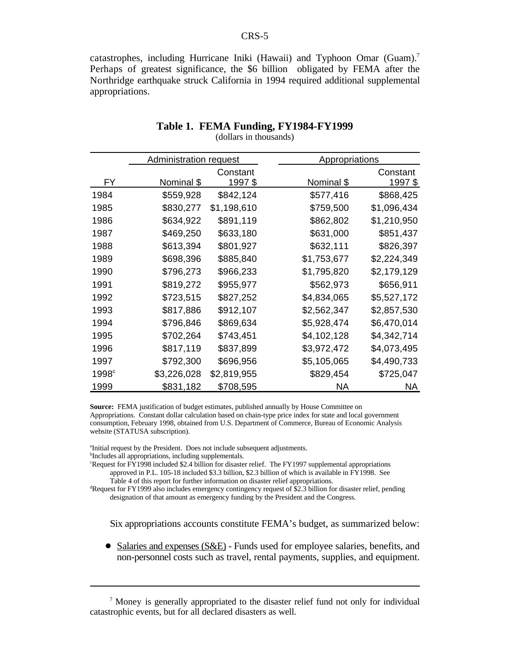catastrophes, including Hurricane Iniki (Hawaii) and Typhoon Omar (Guam).<sup>7</sup> Perhaps of greatest significance, the \$6 billion obligated by FEMA after the Northridge earthquake struck California in 1994 required additional supplemental appropriations.

|                   | Administration request |             | Appropriations |                 |  |
|-------------------|------------------------|-------------|----------------|-----------------|--|
|                   |                        | Constant    |                | Constant        |  |
| <b>FY</b>         | Nominal \$             | 1997\$      | Nominal \$     | <u> 1997 \$</u> |  |
| 1984              | \$559,928              | \$842,124   | \$577,416      | \$868,425       |  |
| 1985              | \$830,277              | \$1,198,610 | \$759,500      | \$1,096,434     |  |
| 1986              | \$634,922              | \$891,119   | \$862,802      | \$1,210,950     |  |
| 1987              | \$469,250              | \$633,180   | \$631,000      | \$851,437       |  |
| 1988              | \$613,394              | \$801,927   | \$632,111      | \$826,397       |  |
| 1989              | \$698,396              | \$885,840   | \$1,753,677    | \$2,224,349     |  |
| 1990              | \$796,273              | \$966,233   | \$1,795,820    | \$2,179,129     |  |
| 1991              | \$819,272              | \$955,977   | \$562,973      | \$656,911       |  |
| 1992              | \$723,515              | \$827,252   | \$4,834,065    | \$5,527,172     |  |
| 1993              | \$817,886              | \$912,107   | \$2,562,347    | \$2,857,530     |  |
| 1994              | \$796,846              | \$869,634   | \$5,928,474    | \$6,470,014     |  |
| 1995              | \$702,264              | \$743,451   | \$4,102,128    | \$4,342,714     |  |
| 1996              | \$817,119              | \$837,899   | \$3,972,472    | \$4,073,495     |  |
| 1997              | \$792,300              | \$696,956   | \$5,105,065    | \$4,490,733     |  |
| 1998 <sup>c</sup> | \$3,226,028            | \$2,819,955 | \$829,454      | \$725,047       |  |
| 1999              | \$831,182              | \$708,595   | NA             | NA              |  |

#### **Table 1. FEMA Funding, FY1984-FY1999** (dollars in thousands)

**Source:** FEMA justification of budget estimates, published annually by House Committee on Appropriations. Constant dollar calculation based on chain-type price index for state and local government consumption, February 1998, obtained from U.S. Department of Commerce, Bureau of Economic Analysis website (STATUSA subscription).

<sup>a</sup>Initial request by the President. Does not include subsequent adjustments.

<sup>b</sup>Includes all appropriations, including supplementals.

Request for FY1998 included \$2.4 billion for disaster relief. The FY1997 supplemental appropriations approved in P.L. 105-18 included \$3.3 billion, \$2.3 billion of which is available in FY1998. See Table 4 of this report for further information on disaster relief appropriations.

<sup>d</sup>Request for FY1999 also includes emergency contingency request of \$2.3 billion for disaster relief, pending designation of that amount as emergency funding by the President and the Congress.

Six appropriations accounts constitute FEMA's budget, as summarized below:

 $\bullet$  Salaries and expenses (S&E) - Funds used for employee salaries, benefits, and non-personnel costs such as travel, rental payments, supplies, and equipment.

 $\alpha$  Money is generally appropriated to the disaster relief fund not only for individual catastrophic events, but for all declared disasters as well.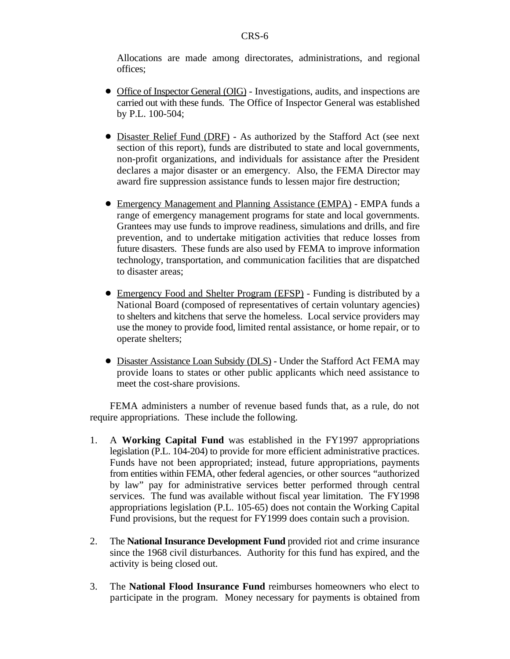Allocations are made among directorates, administrations, and regional offices;

- Office of Inspector General (OIG) Investigations, audits, and inspections are carried out with these funds. The Office of Inspector General was established by P.L. 100-504;
- Disaster Relief Fund (DRF) As authorized by the Stafford Act (see next section of this report), funds are distributed to state and local governments, non-profit organizations, and individuals for assistance after the President declares a major disaster or an emergency. Also, the FEMA Director may award fire suppression assistance funds to lessen major fire destruction;
- ! Emergency Management and Planning Assistance (EMPA) EMPA funds a range of emergency management programs for state and local governments. Grantees may use funds to improve readiness, simulations and drills, and fire prevention, and to undertake mitigation activities that reduce losses from future disasters. These funds are also used by FEMA to improve information technology, transportation, and communication facilities that are dispatched to disaster areas;
- ! Emergency Food and Shelter Program (EFSP) Funding is distributed by a National Board (composed of representatives of certain voluntary agencies) to shelters and kitchens that serve the homeless. Local service providers may use the money to provide food, limited rental assistance, or home repair, or to operate shelters;
- Disaster Assistance Loan Subsidy (DLS) Under the Stafford Act FEMA may provide loans to states or other public applicants which need assistance to meet the cost-share provisions.

FEMA administers a number of revenue based funds that, as a rule, do not require appropriations. These include the following.

- 1. A **Working Capital Fund** was established in the FY1997 appropriations legislation (P.L. 104-204) to provide for more efficient administrative practices. Funds have not been appropriated; instead, future appropriations, payments from entities within FEMA, other federal agencies, or other sources "authorized by law" pay for administrative services better performed through central services. The fund was available without fiscal year limitation. The FY1998 appropriations legislation (P.L. 105-65) does not contain the Working Capital Fund provisions, but the request for FY1999 does contain such a provision.
- 2. The **National Insurance Development Fund** provided riot and crime insurance since the 1968 civil disturbances. Authority for this fund has expired, and the activity is being closed out.
- 3. The **National Flood Insurance Fund** reimburses homeowners who elect to participate in the program. Money necessary for payments is obtained from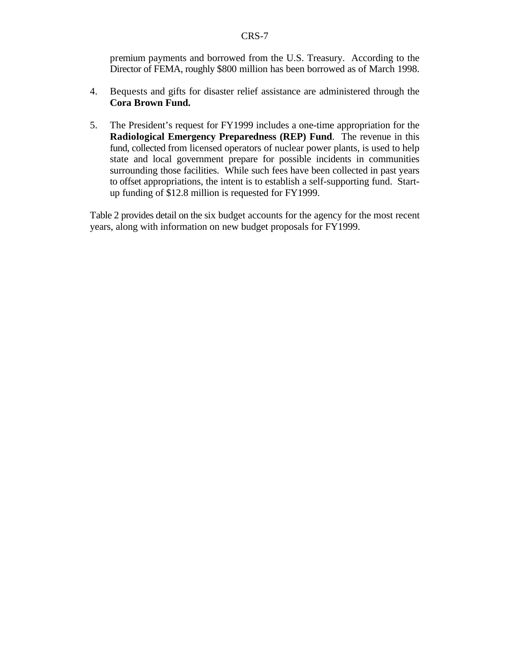premium payments and borrowed from the U.S. Treasury. According to the Director of FEMA, roughly \$800 million has been borrowed as of March 1998.

- 4. Bequests and gifts for disaster relief assistance are administered through the **Cora Brown Fund.**
- 5. The President's request for FY1999 includes a one-time appropriation for the **Radiological Emergency Preparedness (REP) Fund**. The revenue in this fund, collected from licensed operators of nuclear power plants, is used to help state and local government prepare for possible incidents in communities surrounding those facilities. While such fees have been collected in past years to offset appropriations, the intent is to establish a self-supporting fund. Startup funding of \$12.8 million is requested for FY1999.

Table 2 provides detail on the six budget accounts for the agency for the most recent years, along with information on new budget proposals for FY1999.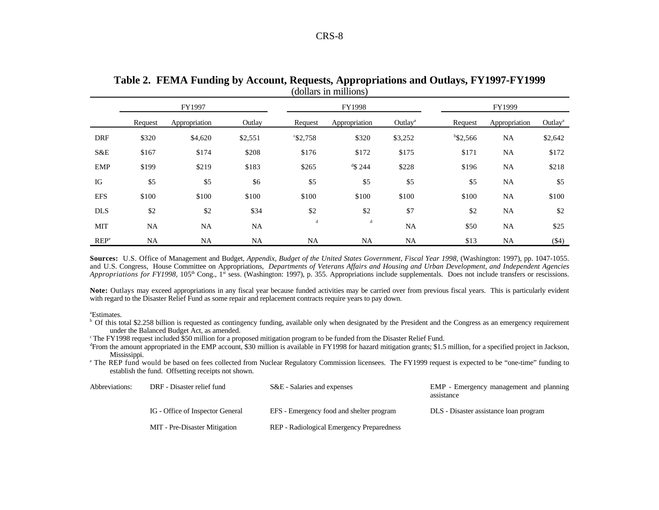|                  | FY1997    |               |           |                   | <b>FY1998</b> |                     |             | FY1999        |                     |  |
|------------------|-----------|---------------|-----------|-------------------|---------------|---------------------|-------------|---------------|---------------------|--|
|                  | Request   | Appropriation | Outlay    | Request           | Appropriation | Outlay <sup>a</sup> | Request     | Appropriation | Outlay <sup>a</sup> |  |
| <b>DRF</b>       | \$320     | \$4,620       | \$2,551   | $\degree$ \$2,758 | \$320         | \$3,252             | $b$ \$2,566 | NA            | \$2,642             |  |
| S&E              | \$167     | \$174         | \$208     | \$176             | \$172         | \$175               | \$171       | NA            | \$172               |  |
| EMP              | \$199     | \$219         | \$183     | \$265             | $4$ \$ 244    | \$228               | \$196       | <b>NA</b>     | \$218               |  |
| IG               | \$5       | \$5           | \$6       | \$5               | \$5           | \$5                 | \$5         | NA            | \$5                 |  |
| <b>EFS</b>       | \$100     | \$100         | \$100     | \$100             | \$100         | \$100               | \$100       | NA            | \$100               |  |
| <b>DLS</b>       | \$2       | \$2           | \$34      | \$2               | \$2           | \$7                 | \$2         | <b>NA</b>     | \$2                 |  |
| <b>MIT</b>       | <b>NA</b> | <b>NA</b>     | NA        | d                 | d             | <b>NA</b>           | \$50        | <b>NA</b>     | \$25                |  |
| REP <sup>e</sup> | <b>NA</b> | NA            | <b>NA</b> | <b>NA</b>         | NA            | NA                  | \$13        | NA            | $(\$4)$             |  |

**Table 2. FEMA Funding by Account, Requests, Appropriations and Outlays, FY1997-FY1999** (dollars in millions)

**Sources:** U.S. Office of Management and Budget, *Appendix, Budget of the United States Government, Fiscal Year 1998*, (Washington: 1997), pp. 1047-1055. and U.S. Congress, House Committee on Appropriations, *Departments of Veterans Affairs and Housing and Urban Development, and Independent Agencies* Appropriations for FY1998, 105<sup>th</sup> Cong., 1<sup>st</sup> sess. (Washington: 1997), p. 355. Appropriations include supplementals. Does not include transfers or rescissions.

**Note:** Outlays may exceed appropriations in any fiscal year because funded activities may be carried over from previous fiscal years. This is particularly evident with regard to the Disaster Relief Fund as some repair and replacement contracts require years to pay down.

<sup>a</sup>Estimates.

<sup>b</sup> Of this total \$2.258 billion is requested as contingency funding, available only when designated by the President and the Congress as an emergency requirement under the Balanced Budget Act, as amended.

<sup>c</sup> The FY1998 request included \$50 million for a proposed mitigation program to be funded from the Disaster Relief Fund.

<sup>4</sup> From the amount appropriated in the EMP account, \$30 million is available in FY1998 for hazard mitigation grants; \$1.5 million, for a specified project in Jackson, Mississippi.

<sup>e</sup> The REP fund would be based on fees collected from Nuclear Regulatory Commission licensees. The FY1999 request is expected to be "one-time" funding to establish the fund. Offsetting receipts not shown.

| Abbreviations: | DRF - Disaster relief fund       | S&E - Salaries and expenses               | EMP - Emergency management and planning<br>assistance |
|----------------|----------------------------------|-------------------------------------------|-------------------------------------------------------|
|                | IG - Office of Inspector General | EFS - Emergency food and shelter program  | DLS - Disaster assistance loan program                |
|                | MIT - Pre-Disaster Mitigation    | REP - Radiological Emergency Preparedness |                                                       |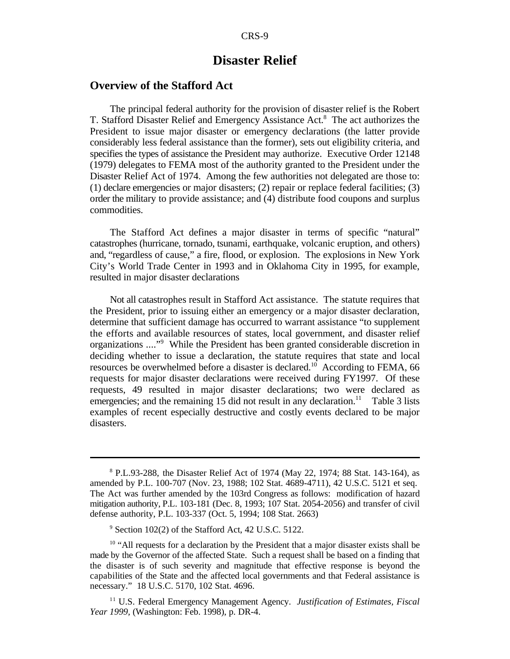#### **Disaster Relief**

#### **Overview of the Stafford Act**

The principal federal authority for the provision of disaster relief is the Robert T. Stafford Disaster Relief and Emergency Assistance Act.<sup>8</sup> The act authorizes the President to issue major disaster or emergency declarations (the latter provide considerably less federal assistance than the former), sets out eligibility criteria, and specifies the types of assistance the President may authorize. Executive Order 12148 (1979) delegates to FEMA most of the authority granted to the President under the Disaster Relief Act of 1974. Among the few authorities not delegated are those to: (1) declare emergencies or major disasters; (2) repair or replace federal facilities; (3) order the military to provide assistance; and (4) distribute food coupons and surplus commodities.

The Stafford Act defines a major disaster in terms of specific "natural" catastrophes (hurricane, tornado, tsunami, earthquake, volcanic eruption, and others) and, "regardless of cause," a fire, flood, or explosion. The explosions in New York City's World Trade Center in 1993 and in Oklahoma City in 1995, for example, resulted in major disaster declarations

Not all catastrophes result in Stafford Act assistance. The statute requires that the President, prior to issuing either an emergency or a major disaster declaration, determine that sufficient damage has occurred to warrant assistance "to supplement the efforts and available resources of states, local government, and disaster relief organizations ...."<sup>9</sup> While the President has been granted considerable discretion in deciding whether to issue a declaration, the statute requires that state and local resources be overwhelmed before a disaster is declared.<sup>10</sup> According to FEMA, 66 requests for major disaster declarations were received during FY1997. Of these requests, 49 resulted in major disaster declarations; two were declared as emergencies; and the remaining 15 did not result in any declaration.<sup>11</sup> Table 3 lists examples of recent especially destructive and costly events declared to be major disasters.

 $8$  P.L.93-288, the Disaster Relief Act of 1974 (May 22, 1974; 88 Stat. 143-164), as amended by P.L. 100-707 (Nov. 23, 1988; 102 Stat. 4689-4711), 42 U.S.C. 5121 et seq. The Act was further amended by the 103rd Congress as follows: modification of hazard mitigation authority, P.L. 103-181 (Dec. 8, 1993; 107 Stat. 2054-2056) and transfer of civil defense authority, P.L. 103-337 (Oct. 5, 1994; 108 Stat. 2663)

 $\degree$  Section 102(2) of the Stafford Act, 42 U.S.C. 5122.

 $10$  "All requests for a declaration by the President that a major disaster exists shall be made by the Governor of the affected State. Such a request shall be based on a finding that the disaster is of such severity and magnitude that effective response is beyond the capabilities of the State and the affected local governments and that Federal assistance is necessary." 18 U.S.C. 5170, 102 Stat. 4696.

<sup>&</sup>lt;sup>11</sup> U.S. Federal Emergency Management Agency. Justification of Estimates, Fiscal *Year 1999,* (Washington: Feb. 1998), p. DR-4.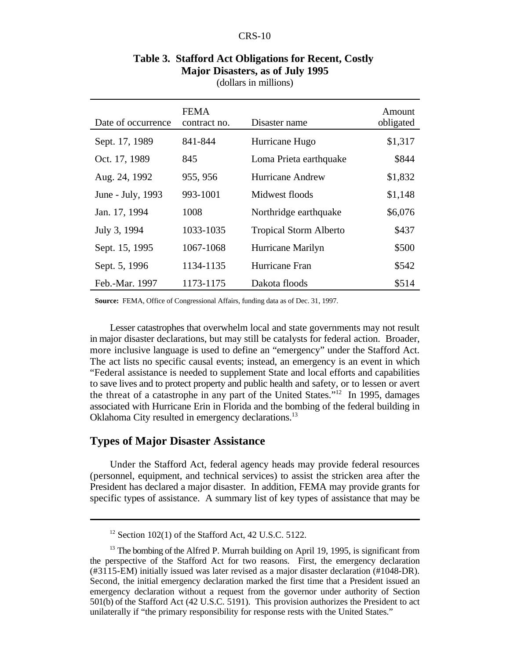| Date of occurrence | <b>FEMA</b><br>contract no. | Disaster name                 | Amount<br>obligated |
|--------------------|-----------------------------|-------------------------------|---------------------|
| Sept. 17, 1989     | 841-844                     | Hurricane Hugo                | \$1,317             |
| Oct. 17, 1989      | 845                         | Loma Prieta earthquake        | \$844               |
| Aug. 24, 1992      | 955, 956                    | <b>Hurricane Andrew</b>       | \$1,832             |
| June - July, 1993  | 993-1001                    | Midwest floods                | \$1,148             |
| Jan. 17, 1994      | 1008                        | Northridge earthquake         | \$6,076             |
| July 3, 1994       | 1033-1035                   | <b>Tropical Storm Alberto</b> | \$437               |
| Sept. 15, 1995     | 1067-1068                   | Hurricane Marilyn             | \$500               |
| Sept. 5, 1996      | 1134-1135                   | Hurricane Fran                | \$542               |
| Feb.-Mar. 1997     | 1173-1175                   | Dakota floods                 | \$514               |

#### **Table 3. Stafford Act Obligations for Recent, Costly Major Disasters, as of July 1995** (dollars in millions)

**Source:** FEMA, Office of Congressional Affairs, funding data as of Dec. 31, 1997.

Lesser catastrophes that overwhelm local and state governments may not result in major disaster declarations, but may still be catalysts for federal action. Broader, more inclusive language is used to define an "emergency" under the Stafford Act. The act lists no specific causal events; instead, an emergency is an event in which "Federal assistance is needed to supplement State and local efforts and capabilities to save lives and to protect property and public health and safety, or to lessen or avert the threat of a catastrophe in any part of the United States."<sup>12</sup> In 1995, damages associated with Hurricane Erin in Florida and the bombing of the federal building in Oklahoma City resulted in emergency declarations.<sup>13</sup>

#### **Types of Major Disaster Assistance**

Under the Stafford Act, federal agency heads may provide federal resources (personnel, equipment, and technical services) to assist the stricken area after the President has declared a major disaster. In addition, FEMA may provide grants for specific types of assistance. A summary list of key types of assistance that may be

 $12$  Section 102(1) of the Stafford Act, 42 U.S.C. 5122.

 $13$  The bombing of the Alfred P. Murrah building on April 19, 1995, is significant from the perspective of the Stafford Act for two reasons. First, the emergency declaration (#3115-EM) initially issued was later revised as a major disaster declaration (#1048-DR). Second, the initial emergency declaration marked the first time that a President issued an emergency declaration without a request from the governor under authority of Section 501(b) of the Stafford Act (42 U.S.C. 5191). This provision authorizes the President to act unilaterally if "the primary responsibility for response rests with the United States."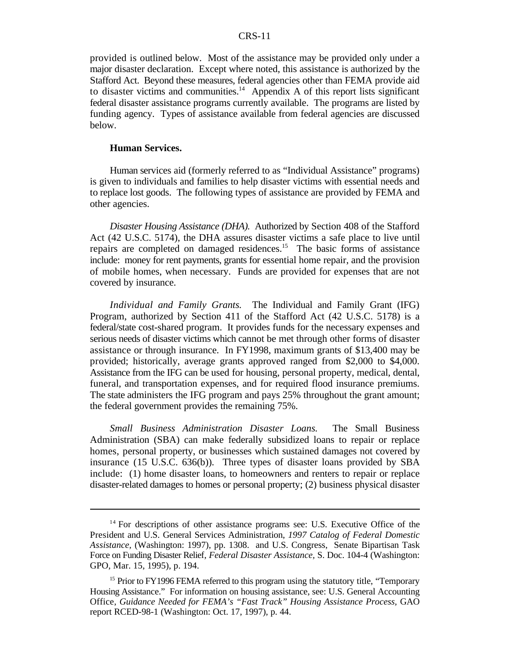provided is outlined below. Most of the assistance may be provided only under a major disaster declaration. Except where noted, this assistance is authorized by the Stafford Act. Beyond these measures, federal agencies other than FEMA provide aid to disaster victims and communities.<sup>14</sup> Appendix A of this report lists significant federal disaster assistance programs currently available. The programs are listed by funding agency. Types of assistance available from federal agencies are discussed below.

#### **Human Services.**

Human services aid (formerly referred to as "Individual Assistance" programs) is given to individuals and families to help disaster victims with essential needs and to replace lost goods. The following types of assistance are provided by FEMA and other agencies.

*Disaster Housing Assistance (DHA).* Authorized by Section 408 of the Stafford Act (42 U.S.C. 5174), the DHA assures disaster victims a safe place to live until repairs are completed on damaged residences.<sup>15</sup> The basic forms of assistance include: money for rent payments, grants for essential home repair, and the provision of mobile homes, when necessary. Funds are provided for expenses that are not covered by insurance.

*Individual and Family Grants.* The Individual and Family Grant (IFG) Program, authorized by Section 411 of the Stafford Act (42 U.S.C. 5178) is a federal/state cost-shared program. It provides funds for the necessary expenses and serious needs of disaster victims which cannot be met through other forms of disaster assistance or through insurance. In FY1998, maximum grants of \$13,400 may be provided; historically, average grants approved ranged from \$2,000 to \$4,000. Assistance from the IFG can be used for housing, personal property, medical, dental, funeral, and transportation expenses, and for required flood insurance premiums. The state administers the IFG program and pays 25% throughout the grant amount; the federal government provides the remaining 75%.

*Small Business Administration Disaster Loans.* The Small Business Administration (SBA) can make federally subsidized loans to repair or replace homes, personal property, or businesses which sustained damages not covered by insurance (15 U.S.C. 636(b)). Three types of disaster loans provided by SBA include: (1) home disaster loans, to homeowners and renters to repair or replace disaster-related damages to homes or personal property; (2) business physical disaster

 $14$  For descriptions of other assistance programs see: U.S. Executive Office of the President and U.S. General Services Administration, *1997 Catalog of Federal Domestic Assistance,* (Washington: 1997), pp. 1308. and U.S. Congress, Senate Bipartisan Task Force on Funding Disaster Relief, *Federal Disaster Assistance,* S. Doc. 104-4 (Washington: GPO, Mar. 15, 1995), p. 194.

 $15$  Prior to FY1996 FEMA referred to this program using the statutory title, "Temporary Housing Assistance." For information on housing assistance, see: U.S. General Accounting Office, *Guidance Needed for FEMA's "Fast Track" Housing Assistance Process,* GAO report RCED-98-1 (Washington: Oct. 17, 1997), p. 44.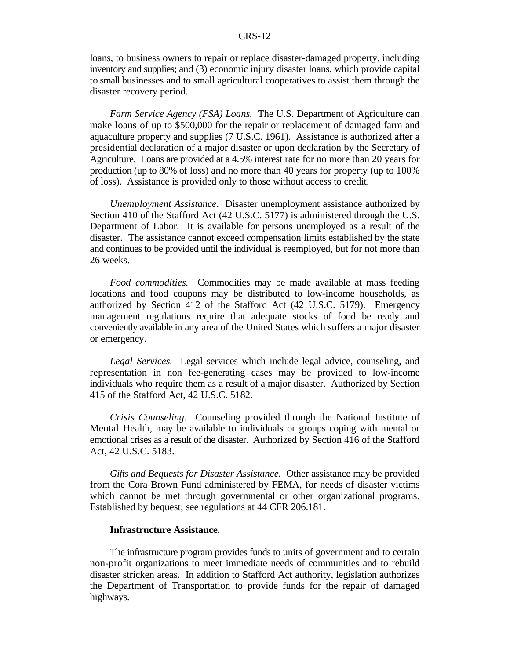loans, to business owners to repair or replace disaster-damaged property, including inventory and supplies; and (3) economic injury disaster loans, which provide capital to small businesses and to small agricultural cooperatives to assist them through the disaster recovery period.

*Farm Service Agency (FSA) Loans.* The U.S. Department of Agriculture can make loans of up to \$500,000 for the repair or replacement of damaged farm and aquaculture property and supplies (7 U.S.C. 1961). Assistance is authorized after a presidential declaration of a major disaster or upon declaration by the Secretary of Agriculture. Loans are provided at a 4.5% interest rate for no more than 20 years for production (up to 80% of loss) and no more than 40 years for property (up to 100% of loss). Assistance is provided only to those without access to credit.

*Unemployment Assistance*. Disaster unemployment assistance authorized by Section 410 of the Stafford Act (42 U.S.C. 5177) is administered through the U.S. Department of Labor. It is available for persons unemployed as a result of the disaster. The assistance cannot exceed compensation limits established by the state and continues to be provided until the individual is reemployed, but for not more than 26 weeks.

*Food commodities.* Commodities may be made available at mass feeding locations and food coupons may be distributed to low-income households, as authorized by Section 412 of the Stafford Act (42 U.S.C. 5179). Emergency management regulations require that adequate stocks of food be ready and conveniently available in any area of the United States which suffers a major disaster or emergency.

*Legal Services.* Legal services which include legal advice, counseling, and representation in non fee-generating cases may be provided to low-income individuals who require them as a result of a major disaster. Authorized by Section 415 of the Stafford Act, 42 U.S.C. 5182.

*Crisis Counseling.* Counseling provided through the National Institute of Mental Health, may be available to individuals or groups coping with mental or emotional crises as a result of the disaster. Authorized by Section 416 of the Stafford Act, 42 U.S.C. 5183.

*Gifts and Bequests for Disaster Assistance.* Other assistance may be provided from the Cora Brown Fund administered by FEMA, for needs of disaster victims which cannot be met through governmental or other organizational programs. Established by bequest; see regulations at 44 CFR 206.181.

#### **Infrastructure Assistance.**

The infrastructure program provides funds to units of government and to certain non-profit organizations to meet immediate needs of communities and to rebuild disaster stricken areas. In addition to Stafford Act authority, legislation authorizes the Department of Transportation to provide funds for the repair of damaged highways.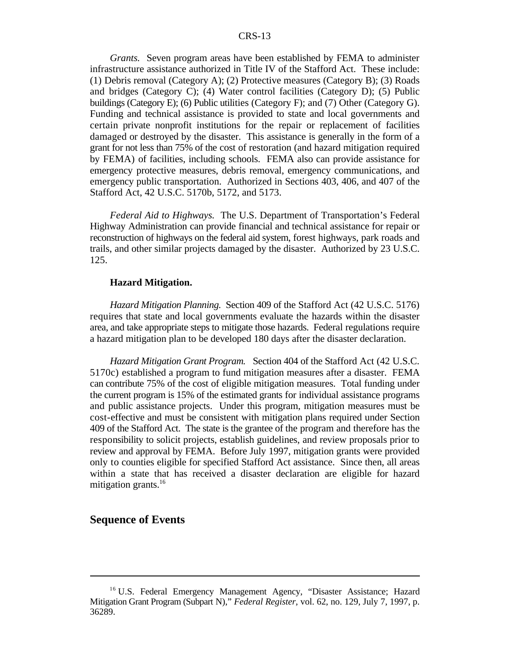*Grants.* Seven program areas have been established by FEMA to administer infrastructure assistance authorized in Title IV of the Stafford Act. These include: (1) Debris removal (Category A); (2) Protective measures (Category B); (3) Roads and bridges (Category C); (4) Water control facilities (Category D); (5) Public buildings (Category E); (6) Public utilities (Category F); and (7) Other (Category G). Funding and technical assistance is provided to state and local governments and certain private nonprofit institutions for the repair or replacement of facilities damaged or destroyed by the disaster. This assistance is generally in the form of a grant for not less than 75% of the cost of restoration (and hazard mitigation required by FEMA) of facilities, including schools. FEMA also can provide assistance for emergency protective measures, debris removal, emergency communications, and emergency public transportation. Authorized in Sections 403, 406, and 407 of the Stafford Act, 42 U.S.C. 5170b, 5172, and 5173.

*Federal Aid to Highways.* The U.S. Department of Transportation's Federal Highway Administration can provide financial and technical assistance for repair or reconstruction of highways on the federal aid system, forest highways, park roads and trails, and other similar projects damaged by the disaster. Authorized by 23 U.S.C. 125.

#### **Hazard Mitigation.**

*Hazard Mitigation Planning.* Section 409 of the Stafford Act (42 U.S.C. 5176) requires that state and local governments evaluate the hazards within the disaster area, and take appropriate steps to mitigate those hazards. Federal regulations require a hazard mitigation plan to be developed 180 days after the disaster declaration.

*Hazard Mitigation Grant Program.* Section 404 of the Stafford Act (42 U.S.C. 5170c) established a program to fund mitigation measures after a disaster. FEMA can contribute 75% of the cost of eligible mitigation measures. Total funding under the current program is 15% of the estimated grants for individual assistance programs and public assistance projects. Under this program, mitigation measures must be cost-effective and must be consistent with mitigation plans required under Section 409 of the Stafford Act. The state is the grantee of the program and therefore has the responsibility to solicit projects, establish guidelines, and review proposals prior to review and approval by FEMA. Before July 1997, mitigation grants were provided only to counties eligible for specified Stafford Act assistance. Since then, all areas within a state that has received a disaster declaration are eligible for hazard mitigation grants. $16$ 

#### **Sequence of Events**

<sup>&</sup>lt;sup>16</sup> U.S. Federal Emergency Management Agency, "Disaster Assistance; Hazard Mitigation Grant Program (Subpart N)," *Federal Register*, vol. 62, no. 129, July 7, 1997, p. 36289.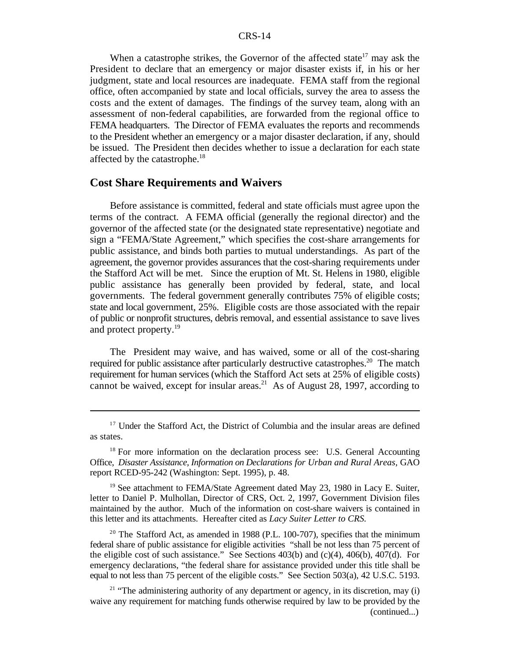When a catastrophe strikes, the Governor of the affected state<sup>17</sup> may ask the President to declare that an emergency or major disaster exists if, in his or her judgment, state and local resources are inadequate. FEMA staff from the regional office, often accompanied by state and local officials, survey the area to assess the costs and the extent of damages. The findings of the survey team, along with an assessment of non-federal capabilities, are forwarded from the regional office to FEMA headquarters. The Director of FEMA evaluates the reports and recommends to the President whether an emergency or a major disaster declaration, if any, should be issued. The President then decides whether to issue a declaration for each state affected by the catastrophe.<sup>18</sup>

#### **Cost Share Requirements and Waivers**

Before assistance is committed, federal and state officials must agree upon the terms of the contract. A FEMA official (generally the regional director) and the governor of the affected state (or the designated state representative) negotiate and sign a "FEMA/State Agreement," which specifies the cost-share arrangements for public assistance, and binds both parties to mutual understandings. As part of the agreement, the governor provides assurances that the cost-sharing requirements under the Stafford Act will be met. Since the eruption of Mt. St. Helens in 1980, eligible public assistance has generally been provided by federal, state, and local governments. The federal government generally contributes 75% of eligible costs; state and local government, 25%. Eligible costs are those associated with the repair of public or nonprofit structures, debris removal, and essential assistance to save lives and protect property.<sup>19</sup>

The President may waive, and has waived, some or all of the cost-sharing required for public assistance after particularly destructive catastrophes.<sup>20</sup> The match requirement for human services (which the Stafford Act sets at 25% of eligible costs) cannot be waived, except for insular areas.<sup>21</sup> As of August 28, 1997, according to

<sup>19</sup> See attachment to FEMA/State Agreement dated May 23, 1980 in Lacy E. Suiter, letter to Daniel P. Mulhollan, Director of CRS, Oct. 2, 1997, Government Division files maintained by the author. Much of the information on cost-share waivers is contained in this letter and its attachments. Hereafter cited as *Lacy Suiter Letter to CRS.*

 $20$  The Stafford Act, as amended in 1988 (P.L. 100-707), specifies that the minimum federal share of public assistance for eligible activities "shall be not less than 75 percent of the eligible cost of such assistance." See Sections 403(b) and (c)(4), 406(b), 407(d). For emergency declarations, "the federal share for assistance provided under this title shall be equal to not less than 75 percent of the eligible costs." See Section 503(a), 42 U.S.C. 5193.

<sup>&</sup>lt;sup>17</sup> Under the Stafford Act, the District of Columbia and the insular areas are defined as states.

 $18$  For more information on the declaration process see: U.S. General Accounting Office, *Disaster Assistance, Information on Declarations for Urban and Rural Areas,* GAO report RCED-95-242 (Washington: Sept. 1995), p. 48.

 $21$  "The administering authority of any department or agency, in its discretion, may (i) waive any requirement for matching funds otherwise required by law to be provided by the (continued...)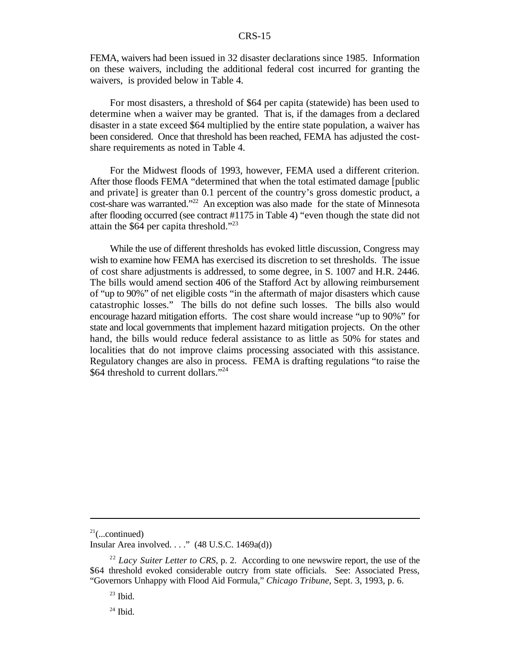FEMA, waivers had been issued in 32 disaster declarations since 1985. Information on these waivers, including the additional federal cost incurred for granting the waivers, is provided below in Table 4.

For most disasters, a threshold of \$64 per capita (statewide) has been used to determine when a waiver may be granted. That is, if the damages from a declared disaster in a state exceed \$64 multiplied by the entire state population, a waiver has been considered. Once that threshold has been reached, FEMA has adjusted the costshare requirements as noted in Table 4.

For the Midwest floods of 1993, however, FEMA used a different criterion. After those floods FEMA "determined that when the total estimated damage [public and private] is greater than 0.1 percent of the country's gross domestic product, a  $cost$ -share was warranted."<sup>22</sup> An exception was also made for the state of Minnesota after flooding occurred (see contract #1175 in Table 4) "even though the state did not attain the  $$64$  per capita threshold."<sup>23</sup>

While the use of different thresholds has evoked little discussion, Congress may wish to examine how FEMA has exercised its discretion to set thresholds. The issue of cost share adjustments is addressed, to some degree, in S. 1007 and H.R. 2446. The bills would amend section 406 of the Stafford Act by allowing reimbursement of "up to 90%" of net eligible costs "in the aftermath of major disasters which cause catastrophic losses." The bills do not define such losses. The bills also would encourage hazard mitigation efforts. The cost share would increase "up to 90%" for state and local governments that implement hazard mitigation projects. On the other hand, the bills would reduce federal assistance to as little as 50% for states and localities that do not improve claims processing associated with this assistance. Regulatory changes are also in process. FEMA is drafting regulations "to raise the \$64 threshold to current dollars."<sup>24</sup>

 $24$  Ibid.

 $21$ (...continued)

Insular Area involved.  $\ldots$ ." (48 U.S.C. 1469a(d))

<sup>&</sup>lt;sup>22</sup> Lacy Suiter Letter to CRS, p. 2. According to one newswire report, the use of the \$64 threshold evoked considerable outcry from state officials. See: Associated Press, "Governors Unhappy with Flood Aid Formula," *Chicago Tribune*, Sept. 3, 1993, p. 6.

 $23$  Ibid.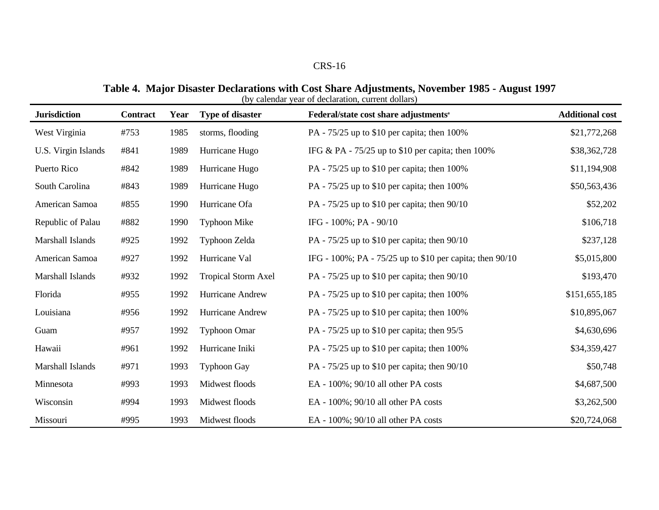#### **Table 4. Major Disaster Declarations with Cost Share Adjustments, November 1985 - August 1997** (by calendar year of declaration, current dollars)

| <b>Jurisdiction</b> | <b>Contract</b> | Year | <b>Type of disaster</b>    | (o) calchuar year of ucclaration, current domars)<br>Federal/state cost share adjustments <sup>a</sup> | <b>Additional cost</b> |
|---------------------|-----------------|------|----------------------------|--------------------------------------------------------------------------------------------------------|------------------------|
| West Virginia       | #753            | 1985 | storms, flooding           | PA - 75/25 up to \$10 per capita; then 100%                                                            | \$21,772,268           |
| U.S. Virgin Islands | #841            | 1989 | Hurricane Hugo             | IFG & PA - $75/25$ up to \$10 per capita; then 100%                                                    | \$38,362,728           |
| Puerto Rico         | #842            | 1989 | Hurricane Hugo             | PA - $75/25$ up to \$10 per capita; then 100%                                                          | \$11,194,908           |
| South Carolina      | #843            | 1989 | Hurricane Hugo             | PA - $75/25$ up to \$10 per capita; then 100%                                                          | \$50,563,436           |
| American Samoa      | #855            | 1990 | Hurricane Ofa              | PA - $75/25$ up to \$10 per capita; then $90/10$                                                       | \$52,202               |
| Republic of Palau   | #882            | 1990 | <b>Typhoon Mike</b>        | IFG - $100\%$ ; PA - $90/10$                                                                           | \$106,718              |
| Marshall Islands    | #925            | 1992 | Typhoon Zelda              | PA - $75/25$ up to \$10 per capita; then $90/10$                                                       | \$237,128              |
| American Samoa      | #927            | 1992 | Hurricane Val              | IFG - 100%; PA - 75/25 up to \$10 per capita; then 90/10                                               | \$5,015,800            |
| Marshall Islands    | #932            | 1992 | <b>Tropical Storm Axel</b> | PA - $75/25$ up to \$10 per capita; then $90/10$                                                       | \$193,470              |
| Florida             | #955            | 1992 | Hurricane Andrew           | PA - $75/25$ up to \$10 per capita; then 100%                                                          | \$151,655,185          |
| Louisiana           | #956            | 1992 | Hurricane Andrew           | PA - 75/25 up to \$10 per capita; then 100%                                                            | \$10,895,067           |
| Guam                | #957            | 1992 | <b>Typhoon Omar</b>        | PA - 75/25 up to \$10 per capita; then 95/5                                                            | \$4,630,696            |
| Hawaii              | #961            | 1992 | Hurricane Iniki            | PA - 75/25 up to \$10 per capita; then 100%                                                            | \$34,359,427           |
| Marshall Islands    | #971            | 1993 | <b>Typhoon Gay</b>         | PA - $75/25$ up to \$10 per capita; then $90/10$                                                       | \$50,748               |
| Minnesota           | #993            | 1993 | Midwest floods             | EA - $100\%$ ; $90/10$ all other PA costs                                                              | \$4,687,500            |
| Wisconsin           | #994            | 1993 | Midwest floods             | EA - $100\%$ ; $90/10$ all other PA costs                                                              | \$3,262,500            |
| Missouri            | #995            | 1993 | Midwest floods             | EA - 100%; 90/10 all other PA costs                                                                    | \$20,724,068           |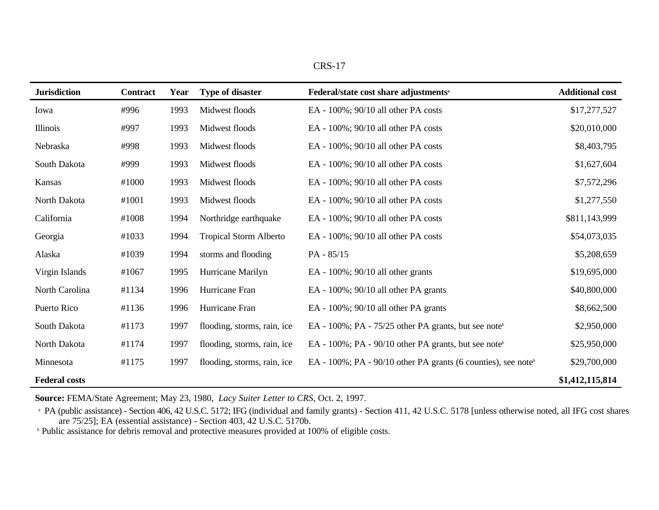| n |  |  |
|---|--|--|
|---|--|--|

| <b>Jurisdiction</b>  | <b>Contract</b> | Year | <b>Type of disaster</b>       | Federal/state cost share adjustments <sup>a</sup>                         | <b>Additional cost</b> |
|----------------------|-----------------|------|-------------------------------|---------------------------------------------------------------------------|------------------------|
| Iowa                 | #996            | 1993 | Midwest floods                | EA - 100%; 90/10 all other PA costs                                       | \$17,277,527           |
| Illinois             | #997            | 1993 | Midwest floods                | EA - 100%; 90/10 all other PA costs                                       | \$20,010,000           |
| Nebraska             | #998            | 1993 | Midwest floods                | EA - $100\%$ ; $90/10$ all other PA costs                                 | \$8,403,795            |
| South Dakota         | #999            | 1993 | Midwest floods                | EA - 100%; 90/10 all other PA costs                                       | \$1,627,604            |
| Kansas               | #1000           | 1993 | Midwest floods                | EA - 100%; 90/10 all other PA costs                                       | \$7,572,296            |
| North Dakota         | #1001           | 1993 | Midwest floods                | EA - $100\%$ ; $90/10$ all other PA costs                                 | \$1,277,550            |
| California           | #1008           | 1994 | Northridge earthquake         | EA - 100%; 90/10 all other PA costs                                       | \$811,143,999          |
| Georgia              | #1033           | 1994 | <b>Tropical Storm Alberto</b> | EA - $100\%$ ; $90/10$ all other PA costs                                 | \$54,073,035           |
| Alaska               | #1039           | 1994 | storms and flooding           | PA - 85/15                                                                | \$5,208,659            |
| Virgin Islands       | #1067           | 1995 | Hurricane Marilyn             | EA - $100\%$ ; $90/10$ all other grants                                   | \$19,695,000           |
| North Carolina       | #1134           | 1996 | Hurricane Fran                | EA - $100\%$ ; $90/10$ all other PA grants                                | \$40,800,000           |
| Puerto Rico          | #1136           | 1996 | Hurricane Fran                | EA - $100\%$ ; $90/10$ all other PA grants                                | \$8,662,500            |
| South Dakota         | #1173           | 1997 | flooding, storms, rain, ice   | EA - $100\%$ ; PA - $75/25$ other PA grants, but see note <sup>b</sup>    | \$2,950,000            |
| North Dakota         | #1174           | 1997 | flooding, storms, rain, ice   | EA - $100\%$ ; PA - $90/10$ other PA grants, but see note <sup>b</sup>    | \$25,950,000           |
| Minnesota            | #1175           | 1997 | flooding, storms, rain, ice   | EA - 100%; PA - 90/10 other PA grants (6 counties), see note <sup>b</sup> | \$29,700,000           |
| <b>Federal costs</b> |                 |      |                               |                                                                           | \$1,412,115,814        |

**Source:** FEMA/State Agreement; May 23, 1980, *Lacy Suiter Letter to CRS*, Oct. 2, 1997.

<sup>a</sup> PA (public assistance) - Section 406, 42 U.S.C. 5172; IFG (individual and family grants) - Section 411, 42 U.S.C. 5178 [unless otherwise noted, all IFG cost shares are 75/25]; EA (essential assistance) - Section 403, 42 U.S.C. 5170b.

<sup>b</sup> Public assistance for debris removal and protective measures provided at 100% of eligible costs.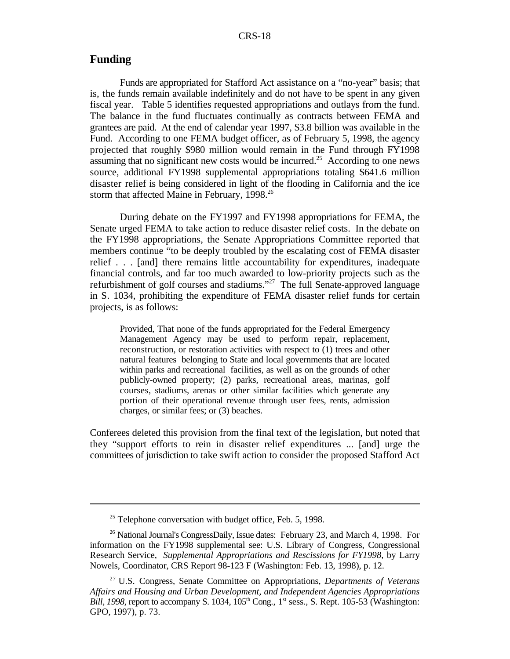#### **Funding**

Funds are appropriated for Stafford Act assistance on a "no-year" basis; that is, the funds remain available indefinitely and do not have to be spent in any given fiscal year. Table 5 identifies requested appropriations and outlays from the fund. The balance in the fund fluctuates continually as contracts between FEMA and grantees are paid. At the end of calendar year 1997, \$3.8 billion was available in the Fund. According to one FEMA budget officer, as of February 5, 1998, the agency projected that roughly \$980 million would remain in the Fund through FY1998 assuming that no significant new costs would be incurred.<sup>25</sup> According to one news source, additional FY1998 supplemental appropriations totaling \$641.6 million disaster relief is being considered in light of the flooding in California and the ice storm that affected Maine in February, 1998.<sup>26</sup>

During debate on the FY1997 and FY1998 appropriations for FEMA, the Senate urged FEMA to take action to reduce disaster relief costs. In the debate on the FY1998 appropriations, the Senate Appropriations Committee reported that members continue "to be deeply troubled by the escalating cost of FEMA disaster relief . . . [and] there remains little accountability for expenditures, inadequate financial controls, and far too much awarded to low-priority projects such as the refurbishment of golf courses and stadiums."<sup>27</sup> The full Senate-approved language in S. 1034, prohibiting the expenditure of FEMA disaster relief funds for certain projects, is as follows:

Provided, That none of the funds appropriated for the Federal Emergency Management Agency may be used to perform repair, replacement, reconstruction, or restoration activities with respect to (1) trees and other natural features belonging to State and local governments that are located within parks and recreational facilities, as well as on the grounds of other publicly-owned property; (2) parks, recreational areas, marinas, golf courses, stadiums, arenas or other similar facilities which generate any portion of their operational revenue through user fees, rents, admission charges, or similar fees; or (3) beaches.

Conferees deleted this provision from the final text of the legislation, but noted that they "support efforts to rein in disaster relief expenditures ... [and] urge the committees of jurisdiction to take swift action to consider the proposed Stafford Act

 $25$  Telephone conversation with budget office, Feb. 5, 1998.

 $26$  National Journal's CongressDaily, Issue dates: February 23, and March 4, 1998. For information on the FY1998 supplemental see: U.S. Library of Congress, Congressional Research Service, *Supplemental Appropriations and Rescissions for FY1998*, by Larry Nowels, Coordinator, CRS Report 98-123 F (Washington: Feb. 13, 1998), p. 12.

U.S. Congress, Senate Committee on Appropriations, *Departments of Veterans* 27 *Affairs and Housing and Urban Development, and Independent Agencies Appropriations Bill,* 1998, report to accompany S. 1034, 105<sup>th</sup> Cong., 1<sup>st</sup> sess., S. Rept. 105-53 (Washington: GPO, 1997), p. 73.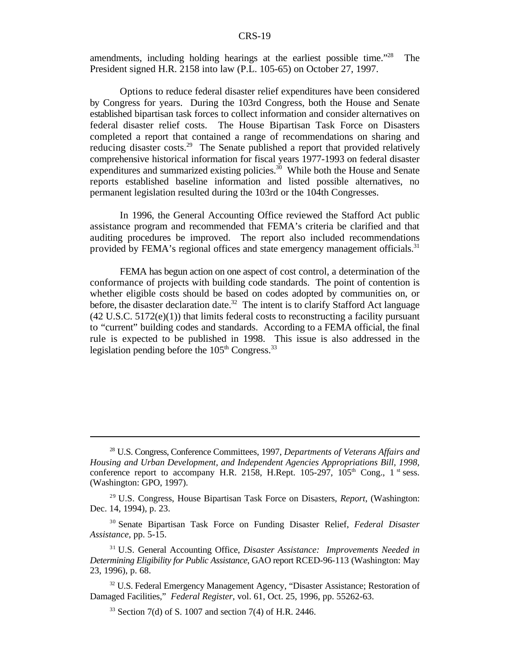amendments, including holding hearings at the earliest possible time."<sup>28</sup> The President signed H.R. 2158 into law (P.L. 105-65) on October 27, 1997.

Options to reduce federal disaster relief expenditures have been considered by Congress for years. During the 103rd Congress, both the House and Senate established bipartisan task forces to collect information and consider alternatives on federal disaster relief costs. The House Bipartisan Task Force on Disasters completed a report that contained a range of recommendations on sharing and reducing disaster costs.<sup>29</sup> The Senate published a report that provided relatively comprehensive historical information for fiscal years 1977-1993 on federal disaster expenditures and summarized existing policies.<sup>30</sup> While both the House and Senate reports established baseline information and listed possible alternatives, no permanent legislation resulted during the 103rd or the 104th Congresses.

In 1996, the General Accounting Office reviewed the Stafford Act public assistance program and recommended that FEMA's criteria be clarified and that auditing procedures be improved. The report also included recommendations provided by FEMA's regional offices and state emergency management officials.<sup>31</sup>

FEMA has begun action on one aspect of cost control, a determination of the conformance of projects with building code standards. The point of contention is whether eligible costs should be based on codes adopted by communities on, or before, the disaster declaration date.<sup>32</sup> The intent is to clarify Stafford Act language  $(42 \text{ U.S.C. } 5172(e)(1))$  that limits federal costs to reconstructing a facility pursuant to "current" building codes and standards. According to a FEMA official, the final rule is expected to be published in 1998. This issue is also addressed in the legislation pending before the  $105<sup>th</sup>$  Congress.<sup>33</sup>

<sup>&</sup>lt;sup>28</sup> U.S. Congress, Conference Committees, 1997, *Departments of Veterans Affairs and Housing and Urban Development, and Independent Agencies Appropriations Bill, 1998,* conference report to accompany H.R. 2158, H.Rept. 105-297,  $105<sup>th</sup>$  Cong., 1<sup>st</sup> sess. (Washington: GPO, 1997).

U.S. Congress, House Bipartisan Task Force on Disasters, *Report*, (Washington: 29 Dec. 14, 1994), p. 23.

<sup>&</sup>lt;sup>30</sup> Senate Bipartisan Task Force on Funding Disaster Relief, Federal Disaster *Assistance,* pp. 5-15.

U.S. General Accounting Office, *Disaster Assistance: Improvements Needed in* 31 *Determining Eligibility for Public Assistance*, GAO report RCED-96-113 (Washington: May 23, 1996), p. 68.

 $32$  U.S. Federal Emergency Management Agency, "Disaster Assistance; Restoration of Damaged Facilities," *Federal Register*, vol. 61, Oct. 25, 1996, pp. 55262-63.

 $33$  Section 7(d) of S. 1007 and section 7(4) of H.R. 2446.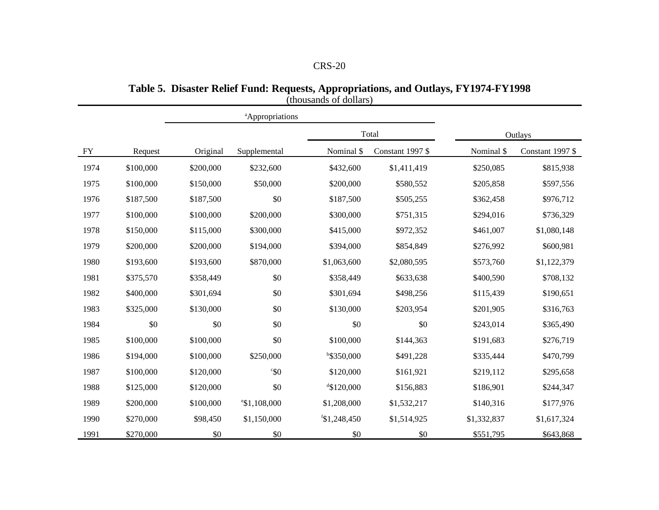**Table 5. Disaster Relief Fund: Requests, Appropriations, and Outlays, FY1974-FY1998**

|           |           |           | <sup>a</sup> Appropriations |               |                  |             |                  |
|-----------|-----------|-----------|-----------------------------|---------------|------------------|-------------|------------------|
|           |           |           |                             |               | Total            |             | Outlays          |
| <b>FY</b> | Request   | Original  | Supplemental                | Nominal \$    | Constant 1997 \$ | Nominal \$  | Constant 1997 \$ |
| 1974      | \$100,000 | \$200,000 | \$232,600                   | \$432,600     | \$1,411,419      | \$250,085   | \$815,938        |
| 1975      | \$100,000 | \$150,000 | \$50,000                    | \$200,000     | \$580,552        | \$205,858   | \$597,556        |
| 1976      | \$187,500 | \$187,500 | \$0                         | \$187,500     | \$505,255        | \$362,458   | \$976,712        |
| 1977      | \$100,000 | \$100,000 | \$200,000                   | \$300,000     | \$751,315        | \$294,016   | \$736,329        |
| 1978      | \$150,000 | \$115,000 | \$300,000                   | \$415,000     | \$972,352        | \$461,007   | \$1,080,148      |
| 1979      | \$200,000 | \$200,000 | \$194,000                   | \$394,000     | \$854,849        | \$276,992   | \$600,981        |
| 1980      | \$193,600 | \$193,600 | \$870,000                   | \$1,063,600   | \$2,080,595      | \$573,760   | \$1,122,379      |
| 1981      | \$375,570 | \$358,449 | \$0                         | \$358,449     | \$633,638        | \$400,590   | \$708,132        |
| 1982      | \$400,000 | \$301,694 | \$0                         | \$301,694     | \$498,256        | \$115,439   | \$190,651        |
| 1983      | \$325,000 | \$130,000 | \$0                         | \$130,000     | \$203,954        | \$201,905   | \$316,763        |
| 1984      | \$0       | \$0       | \$0                         | \$0           | \$0              | \$243,014   | \$365,490        |
| 1985      | \$100,000 | \$100,000 | \$0                         | \$100,000     | \$144,363        | \$191,683   | \$276,719        |
| 1986      | \$194,000 | \$100,000 | \$250,000                   | $b$ \$350,000 | \$491,228        | \$335,444   | \$470,799        |
| 1987      | \$100,000 | \$120,000 | $\degree$ \$0               | \$120,000     | \$161,921        | \$219,112   | \$295,658        |
| 1988      | \$125,000 | \$120,000 | \$0                         | $4$ \$120,000 | \$156,883        | \$186,901   | \$244,347        |
| 1989      | \$200,000 | \$100,000 | $^{\circ}$ \$1,108,000      | \$1,208,000   | \$1,532,217      | \$140,316   | \$177,976        |
| 1990      | \$270,000 | \$98,450  | \$1,150,000                 | f\$1,248,450  | \$1,514,925      | \$1,332,837 | \$1,617,324      |
| 1991      | \$270,000 | \$0       | \$0                         | \$0           | \$0              | \$551,795   | \$643,868        |

(thousands of dollars)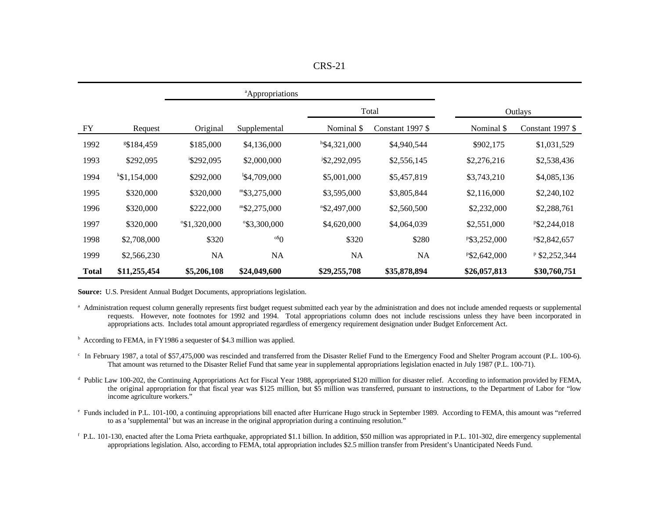| n<br>ı<br>۰. |  |
|--------------|--|
|--------------|--|

|              |                        |                        | <sup>a</sup> Appropriations |                          |                  |              |                  |
|--------------|------------------------|------------------------|-----------------------------|--------------------------|------------------|--------------|------------------|
|              |                        |                        |                             |                          | Total            |              | Outlays          |
| FY           | Request                | Original               | Supplemental                | Nominal \$               | Constant 1997 \$ | Nominal \$   | Constant 1997 \$ |
| 1992         | <sup>g</sup> \$184,459 | \$185,000              | \$4,136,000                 | $h$ \$4,321,000          | \$4,940,544      | \$902,175    | \$1,031,529      |
| 1993         | \$292,095              | \$292,095              | \$2,000,000                 | <sup>j</sup> \$2,292,095 | \$2,556,145      | \$2,276,216  | \$2,538,436      |
| 1994         | k\$1,154,000           | \$292,000              | $\frac{1}{2}4,709,000$      | \$5,001,000              | \$5,457,819      | \$3,743,210  | \$4,085,136      |
| 1995         | \$320,000              | \$320,000              | $m$ \$3,275,000             | \$3,595,000              | \$3,805,844      | \$2,116,000  | \$2,240,102      |
| 1996         | \$320,000              | \$222,000              | m\$2,275,000                | $n$ \$2,497,000          | \$2,560,500      | \$2,232,000  | \$2,288,761      |
| 1997         | \$320,000              | $^{\circ}$ \$1,320,000 | °\$3,300,000                | \$4,620,000              | \$4,064,039      | \$2,551,000  | P\$2,244,018     |
| 1998         | \$2,708,000            | \$320                  | $\rm ^{o}\mathbb{S}O$       | \$320                    | \$280            | P\$3,252,000 | P\$2,842,657     |
| 1999         | \$2,566,230            | <b>NA</b>              | NA                          | NA                       | NA               | P\$2,642,000 | $P$ \$2,252,344  |
| <b>Total</b> | \$11,255,454           | \$5,206,108            | \$24,049,600                | \$29,255,708             | \$35,878,894     | \$26,057,813 | \$30,760,751     |

**Source:** U.S. President Annual Budget Documents, appropriations legislation.

- Administration request column generally represents first budget request submitted each year by the administration and does not include amended requests or supplemental a requests. However, note footnotes for 1992 and 1994. Total appropriations column does not include rescissions unless they have been incorporated in appropriations acts. Includes total amount appropriated regardless of emergency requirement designation under Budget Enforcement Act.
- $\overline{h}$  According to FEMA, in FY1986 a sequester of \$4.3 million was applied.
- <sup>c</sup> In February 1987, a total of \$57,475,000 was rescinded and transferred from the Disaster Relief Fund to the Emergency Food and Shelter Program account (P.L. 100-6). That amount was returned to the Disaster Relief Fund that same year in supplemental appropriations legislation enacted in July 1987 (P.L. 100-71).
- <sup>d</sup> Public Law 100-202, the Continuing Appropriations Act for Fiscal Year 1988, appropriated \$120 million for disaster relief. According to information provided by FEMA, the original appropriation for that fiscal year was \$125 million, but \$5 million was transferred, pursuant to instructions, to the Department of Labor for "low income agriculture workers."
- Funds included in P.L. 101-100, a continuing appropriations bill enacted after Hurricane Hugo struck in September 1989. According to FEMA, this amount was "referred <sup>e</sup> to as a 'supplemental' but was an increase in the original appropriation during a continuing resolution."
- $f$  P.L. 101-130, enacted after the Loma Prieta earthquake, appropriated \$1.1 billion. In addition, \$50 million was appropriated in P.L. 101-302, dire emergency supplemental appropriations legislation. Also, according to FEMA, total appropriation includes \$2.5 million transfer from President's Unanticipated Needs Fund.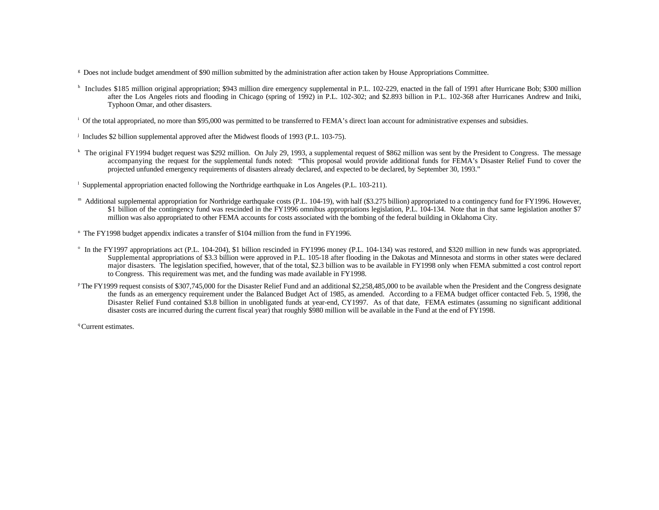- <sup>8</sup> Does not include budget amendment of \$90 million submitted by the administration after action taken by House Appropriations Committee.
- <sup>h</sup> Includes \$185 million original appropriation; \$943 million dire emergency supplemental in P.L. 102-229, enacted in the fall of 1991 after Hurricane Bob; \$300 million after the Los Angeles riots and flooding in Chicago (spring of 1992) in P.L. 102-302; and \$2.893 billion in P.L. 102-368 after Hurricanes Andrew and Iniki, Typhoon Omar, and other disasters.
- $\frac{1}{2}$  Of the total appropriated, no more than \$95,000 was permitted to be transferred to FEMA's direct loan account for administrative expenses and subsidies.
- $\mu$  Includes \$2 billion supplemental approved after the Midwest floods of 1993 (P.L. 103-75).
- <sup>k</sup> The original FY1994 budget request was \$292 million. On July 29, 1993, a supplemental request of \$862 million was sent by the President to Congress. The message accompanying the request for the supplemental funds noted: "This proposal would provide additional funds for FEMA's Disaster Relief Fund to cover the projected unfunded emergency requirements of disasters already declared, and expected to be declared, by September 30, 1993."
- <sup>1</sup> Supplemental appropriation enacted following the Northridge earthquake in Los Angeles (P.L. 103-211).
- <sup>m</sup> Additional supplemental appropriation for Northridge earthquake costs (P.L. 104-19), with half (\$3.275 billion) appropriated to a contingency fund for FY1996. However, \$1 billion of the contingency fund was rescinded in the FY1996 omnibus appropriations legislation, P.L. 104-134. Note that in that same legislation another \$7 million was also appropriated to other FEMA accounts for costs associated with the bombing of the federal building in Oklahoma City.
- $n$  The FY1998 budget appendix indicates a transfer of \$104 million from the fund in FY1996.
- <sup>o</sup> In the FY1997 appropriations act (P.L. 104-204), \$1 billion rescinded in FY1996 money (P.L. 104-134) was restored, and \$320 million in new funds was appropriated. Supplemental appropriations of \$3.3 billion were approved in P.L. 105-18 after flooding in the Dakotas and Minnesota and storms in other states were declared major disasters. The legislation specified, however, that of the total, \$2.3 billion was to be available in FY1998 only when FEMA submitted a cost control report to Congress. This requirement was met, and the funding was made available in FY1998.
- <sup>p</sup> The FY1999 request consists of \$307,745,000 for the Disaster Relief Fund and an additional \$2,258,485,000 to be available when the President and the Congress designate the funds as an emergency requirement under the Balanced Budget Act of 1985, as amended. According to a FEMA budget officer contacted Feb. 5, 1998, the Disaster Relief Fund contained \$3.8 billion in unobligated funds at year-end, CY1997. As of that date, FEMA estimates (assuming no significant additional disaster costs are incurred during the current fiscal year) that roughly \$980 million will be available in the Fund at the end of FY1998.

<sup>q</sup> Current estimates.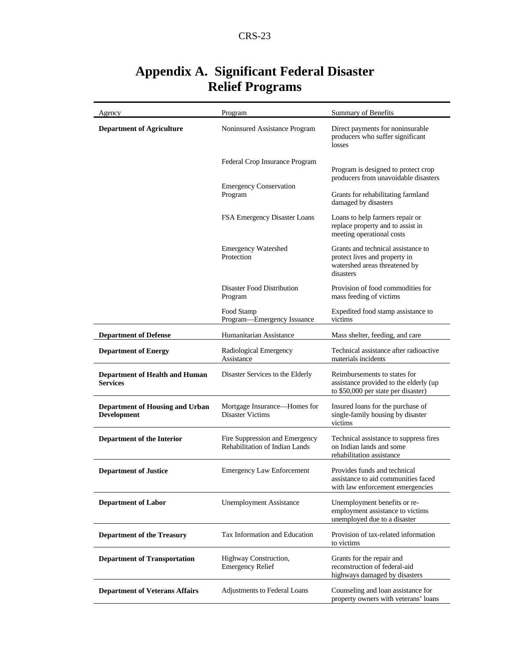| Agency                                                       | Program                                                          | Summary of Benefits                                                                                               |
|--------------------------------------------------------------|------------------------------------------------------------------|-------------------------------------------------------------------------------------------------------------------|
| <b>Department of Agriculture</b>                             | Noninsured Assistance Program                                    | Direct payments for noninsurable<br>producers who suffer significant<br>losses                                    |
|                                                              | Federal Crop Insurance Program                                   | Program is designed to protect crop<br>producers from unavoidable disasters                                       |
|                                                              | <b>Emergency Conservation</b><br>Program                         | Grants for rehabilitating farmland<br>damaged by disasters                                                        |
|                                                              | FSA Emergency Disaster Loans                                     | Loans to help farmers repair or<br>replace property and to assist in<br>meeting operational costs                 |
|                                                              | <b>Emergency Watershed</b><br>Protection                         | Grants and technical assistance to<br>protect lives and property in<br>watershed areas threatened by<br>disasters |
|                                                              | Disaster Food Distribution<br>Program                            | Provision of food commodities for<br>mass feeding of victims                                                      |
|                                                              | Food Stamp<br>Program-Emergency Issuance                         | Expedited food stamp assistance to<br>victims                                                                     |
| <b>Department of Defense</b>                                 | Humanitarian Assistance                                          | Mass shelter, feeding, and care                                                                                   |
| <b>Department of Energy</b>                                  | Radiological Emergency<br>Assistance                             | Technical assistance after radioactive<br>materials incidents                                                     |
| <b>Department of Health and Human</b><br><b>Services</b>     | Disaster Services to the Elderly                                 | Reimbursements to states for<br>assistance provided to the elderly (up<br>to \$50,000 per state per disaster)     |
| <b>Department of Housing and Urban</b><br><b>Development</b> | Mortgage Insurance-Homes for<br>Disaster Victims                 | Insured loans for the purchase of<br>single-family housing by disaster<br>victims                                 |
| Department of the Interior                                   | Fire Suppression and Emergency<br>Rehabilitation of Indian Lands | Technical assistance to suppress fires<br>on Indian lands and some<br>rehabilitation assistance                   |
| <b>Department of Justice</b>                                 | <b>Emergency Law Enforcement</b>                                 | Provides funds and technical<br>assistance to aid communities faced<br>with law enforcement emergencies           |
| <b>Department of Labor</b>                                   | <b>Unemployment Assistance</b>                                   | Unemployment benefits or re-<br>employment assistance to victims<br>unemployed due to a disaster                  |
| <b>Department of the Treasury</b>                            | Tax Information and Education                                    | Provision of tax-related information<br>to victims                                                                |
| <b>Department of Transportation</b>                          | Highway Construction,<br><b>Emergency Relief</b>                 | Grants for the repair and<br>reconstruction of federal-aid<br>highways damaged by disasters                       |
| <b>Department of Veterans Affairs</b>                        | Adjustments to Federal Loans                                     | Counseling and loan assistance for<br>property owners with veterans' loans                                        |

## **Appendix A. Significant Federal Disaster Relief Programs**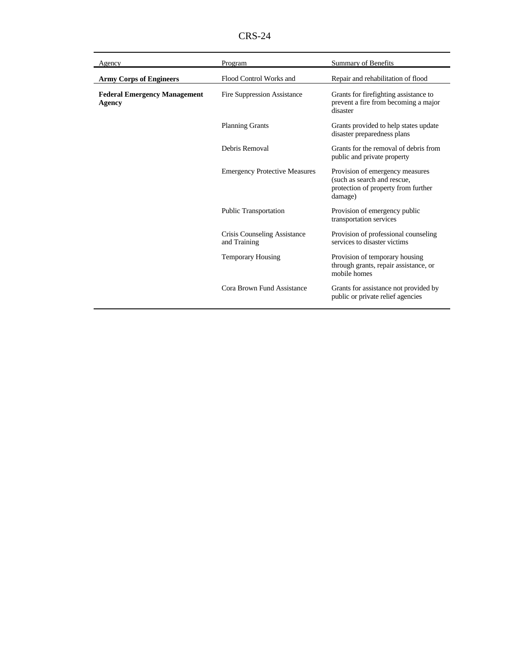CRS-24

| Agency                                        | Program                                      | <b>Summary of Benefits</b>                                                                                       |
|-----------------------------------------------|----------------------------------------------|------------------------------------------------------------------------------------------------------------------|
| <b>Army Corps of Engineers</b>                | Flood Control Works and                      | Repair and rehabilitation of flood                                                                               |
| <b>Federal Emergency Management</b><br>Agency | <b>Fire Suppression Assistance</b>           | Grants for firefighting assistance to<br>prevent a fire from becoming a major<br>disaster                        |
|                                               | <b>Planning Grants</b>                       | Grants provided to help states update<br>disaster preparedness plans                                             |
|                                               | Debris Removal                               | Grants for the removal of debris from<br>public and private property                                             |
|                                               | <b>Emergency Protective Measures</b>         | Provision of emergency measures<br>(such as search and rescue,<br>protection of property from further<br>damage) |
|                                               | <b>Public Transportation</b>                 | Provision of emergency public<br>transportation services                                                         |
|                                               | Crisis Counseling Assistance<br>and Training | Provision of professional counseling<br>services to disaster victims                                             |
|                                               | <b>Temporary Housing</b>                     | Provision of temporary housing<br>through grants, repair assistance, or<br>mobile homes                          |
|                                               | Cora Brown Fund Assistance                   | Grants for assistance not provided by<br>public or private relief agencies                                       |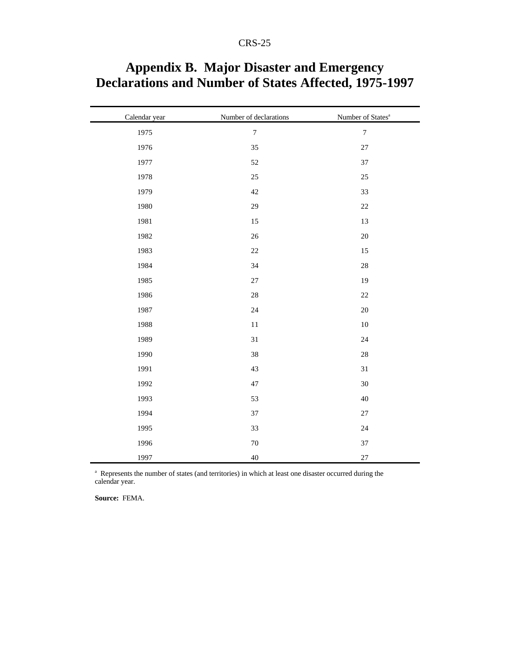| Calendar year | Number of declarations | Number of States <sup>a</sup> |
|---------------|------------------------|-------------------------------|
| 1975          | $\boldsymbol{7}$       | $\boldsymbol{7}$              |
| 1976          | 35                     | $27\,$                        |
| 1977          | 52                     | 37                            |
| 1978          | 25                     | 25                            |
| 1979          | 42                     | 33                            |
| 1980          | 29                     | $22\,$                        |
| 1981          | $15\,$                 | 13                            |
| 1982          | 26                     | 20                            |
| 1983          | $22\,$                 | 15                            |
| 1984          | 34                     | $28\,$                        |
| 1985          | $27\,$                 | 19                            |
| 1986          | $28\,$                 | $22\,$                        |
| 1987          | 24                     | 20                            |
| 1988          | $11\,$                 | $10\,$                        |
| 1989          | 31                     | 24                            |
| 1990          | 38                     | 28                            |
| 1991          | 43                     | 31                            |
| 1992          | 47                     | 30                            |
| 1993          | 53                     | $40\,$                        |
| 1994          | 37                     | $27\,$                        |
| 1995          | 33                     | 24                            |
| 1996          | $70\,$                 | 37                            |
| 1997          | $40\,$                 | $27\,$                        |

## **Appendix B. Major Disaster and Emergency Declarations and Number of States Affected, 1975-1997**

<sup>a</sup> Represents the number of states (and territories) in which at least one disaster occurred during the calendar year.

**Source:** FEMA.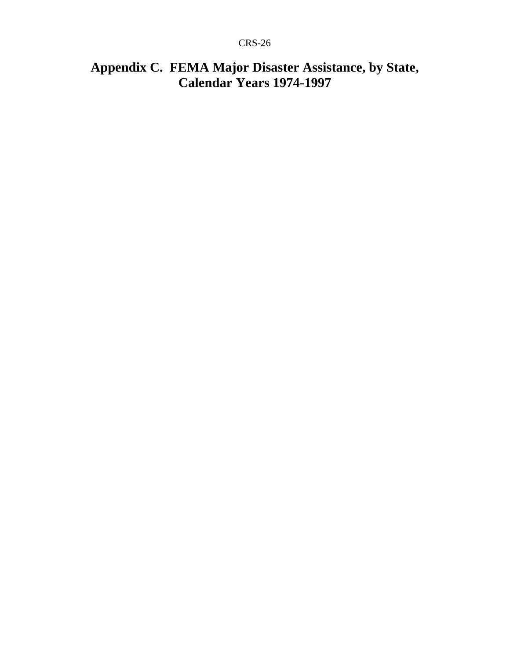## **Appendix C. FEMA Major Disaster Assistance, by State, Calendar Years 1974-1997**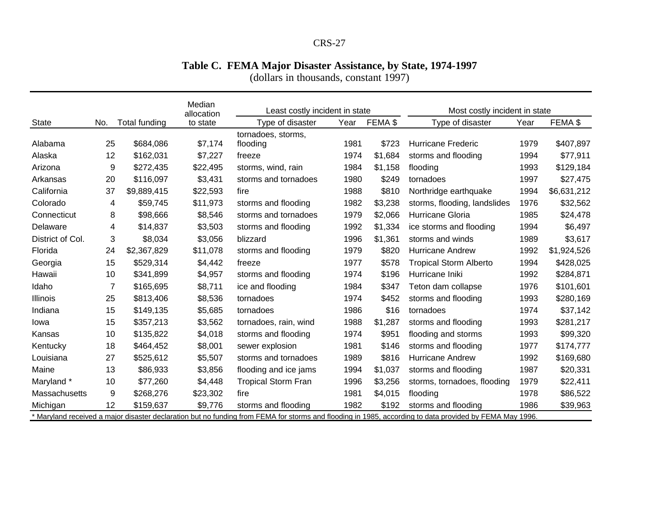#### **Table C. FEMA Major Disaster Assistance, by State, 1974-1997**

(dollars in thousands, constant 1997)

|                                                                                                                                                         |     | Median<br>allocation | Least costly incident in state |                            |      | Most costly incident in state |                               |      |             |
|---------------------------------------------------------------------------------------------------------------------------------------------------------|-----|----------------------|--------------------------------|----------------------------|------|-------------------------------|-------------------------------|------|-------------|
| <b>State</b>                                                                                                                                            | No. | <b>Total funding</b> | to state                       | Type of disaster           | Year | FEMA \$                       | Type of disaster              | Year | FEMA \$     |
|                                                                                                                                                         |     |                      |                                | tornadoes, storms,         |      |                               |                               |      |             |
| Alabama                                                                                                                                                 | 25  | \$684,086            | \$7,174                        | flooding                   | 1981 | \$723                         | <b>Hurricane Frederic</b>     | 1979 | \$407,897   |
| Alaska                                                                                                                                                  | 12  | \$162,031            | \$7,227                        | freeze                     | 1974 | \$1,684                       | storms and flooding           | 1994 | \$77,911    |
| Arizona                                                                                                                                                 | 9   | \$272,435            | \$22,495                       | storms, wind, rain         | 1984 | \$1,158                       | flooding                      | 1993 | \$129,184   |
| Arkansas                                                                                                                                                | 20  | \$116,097            | \$3,431                        | storms and tornadoes       | 1980 | \$249                         | tornadoes                     | 1997 | \$27,475    |
| California                                                                                                                                              | 37  | \$9,889,415          | \$22,593                       | fire                       | 1988 | \$810                         | Northridge earthquake         | 1994 | \$6,631,212 |
| Colorado                                                                                                                                                | 4   | \$59,745             | \$11,973                       | storms and flooding        | 1982 | \$3,238                       | storms, flooding, landslides  | 1976 | \$32,562    |
| Connecticut                                                                                                                                             | 8   | \$98,666             | \$8,546                        | storms and tornadoes       | 1979 | \$2,066                       | Hurricane Gloria              | 1985 | \$24,478    |
| Delaware                                                                                                                                                | 4   | \$14,837             | \$3,503                        | storms and flooding        | 1992 | \$1,334                       | ice storms and flooding       | 1994 | \$6,497     |
| District of Col.                                                                                                                                        | 3   | \$8,034              | \$3,056                        | blizzard                   | 1996 | \$1,361                       | storms and winds              | 1989 | \$3,617     |
| Florida                                                                                                                                                 | 24  | \$2,367,829          | \$11,078                       | storms and flooding        | 1979 | \$820                         | Hurricane Andrew              | 1992 | \$1,924,526 |
| Georgia                                                                                                                                                 | 15  | \$529,314            | \$4,442                        | freeze                     | 1977 | \$578                         | <b>Tropical Storm Alberto</b> | 1994 | \$428,025   |
| Hawaii                                                                                                                                                  | 10  | \$341,899            | \$4,957                        | storms and flooding        | 1974 | \$196                         | Hurricane Iniki               | 1992 | \$284,871   |
| Idaho                                                                                                                                                   | 7   | \$165,695            | \$8,711                        | ice and flooding           | 1984 | \$347                         | Teton dam collapse            | 1976 | \$101,601   |
| <b>Illinois</b>                                                                                                                                         | 25  | \$813,406            | \$8,536                        | tornadoes                  | 1974 | \$452                         | storms and flooding           | 1993 | \$280,169   |
| Indiana                                                                                                                                                 | 15  | \$149,135            | \$5,685                        | tornadoes                  | 1986 | \$16                          | tornadoes                     | 1974 | \$37,142    |
| lowa                                                                                                                                                    | 15  | \$357,213            | \$3,562                        | tornadoes, rain, wind      | 1988 | \$1,287                       | storms and flooding           | 1993 | \$281,217   |
| Kansas                                                                                                                                                  | 10  | \$135,822            | \$4,018                        | storms and flooding        | 1974 | \$951                         | flooding and storms           | 1993 | \$99,320    |
| Kentucky                                                                                                                                                | 18  | \$464,452            | \$8,001                        | sewer explosion            | 1981 | \$146                         | storms and flooding           | 1977 | \$174,777   |
| Louisiana                                                                                                                                               | 27  | \$525,612            | \$5,507                        | storms and tornadoes       | 1989 | \$816                         | <b>Hurricane Andrew</b>       | 1992 | \$169,680   |
| Maine                                                                                                                                                   | 13  | \$86,933             | \$3,856                        | flooding and ice jams      | 1994 | \$1,037                       | storms and flooding           | 1987 | \$20,331    |
| Maryland *                                                                                                                                              | 10  | \$77,260             | \$4,448                        | <b>Tropical Storm Fran</b> | 1996 | \$3,256                       | storms, tornadoes, flooding   | 1979 | \$22,411    |
| Massachusetts                                                                                                                                           | 9   | \$268,276            | \$23,302                       | fire                       | 1981 | \$4,015                       | flooding                      | 1978 | \$86,522    |
| Michigan                                                                                                                                                | 12  | \$159,637            | \$9,776                        | storms and flooding        | 1982 | \$192                         | storms and flooding           | 1986 | \$39,963    |
| * Maryland received a major disaster declaration but no funding from FEMA for storms and flooding in 1985, according to data provided by FEMA May 1996. |     |                      |                                |                            |      |                               |                               |      |             |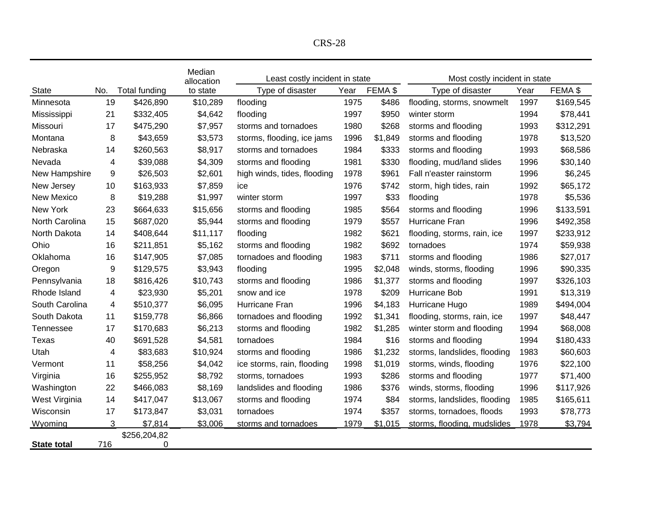| D C<br>8<br>-כרא<br>$\overline{\phantom{a}}$ |
|----------------------------------------------|
|----------------------------------------------|

|                    |     |                      | Median<br>allocation | Least costly incident in state |      |         | Most costly incident in state |      |           |  |
|--------------------|-----|----------------------|----------------------|--------------------------------|------|---------|-------------------------------|------|-----------|--|
| <b>State</b>       | No. | <b>Total funding</b> | to state             | Type of disaster               | Year | FEMA \$ | Type of disaster              | Year | FEMA \$   |  |
| Minnesota          | 19  | \$426,890            | \$10,289             | flooding                       | 1975 | \$486   | flooding, storms, snowmelt    | 1997 | \$169,545 |  |
| Mississippi        | 21  | \$332,405            | \$4,642              | flooding                       | 1997 | \$950   | winter storm                  | 1994 | \$78,441  |  |
| Missouri           | 17  | \$475,290            | \$7,957              | storms and tornadoes           | 1980 | \$268   | storms and flooding           | 1993 | \$312,291 |  |
| Montana            | 8   | \$43,659             | \$3,573              | storms, flooding, ice jams     | 1996 | \$1,849 | storms and flooding           | 1978 | \$13,520  |  |
| Nebraska           | 14  | \$260,563            | \$8,917              | storms and tornadoes           | 1984 | \$333   | storms and flooding           | 1993 | \$68,586  |  |
| Nevada             | 4   | \$39,088             | \$4,309              | storms and flooding            | 1981 | \$330   | flooding, mud/land slides     | 1996 | \$30,140  |  |
| New Hampshire      | 9   | \$26,503             | \$2,601              | high winds, tides, flooding    | 1978 | \$961   | Fall n'easter rainstorm       | 1996 | \$6,245   |  |
| New Jersey         | 10  | \$163,933            | \$7,859              | ice                            | 1976 | \$742   | storm, high tides, rain       | 1992 | \$65,172  |  |
| <b>New Mexico</b>  | 8   | \$19,288             | \$1,997              | winter storm                   | 1997 | \$33    | flooding                      | 1978 | \$5,536   |  |
| New York           | 23  | \$664,633            | \$15,656             | storms and flooding            | 1985 | \$564   | storms and flooding           | 1996 | \$133,591 |  |
| North Carolina     | 15  | \$687,020            | \$5,944              | storms and flooding            | 1979 | \$557   | Hurricane Fran                | 1996 | \$492,358 |  |
| North Dakota       | 14  | \$408,644            | \$11,117             | flooding                       | 1982 | \$621   | flooding, storms, rain, ice   | 1997 | \$233,912 |  |
| Ohio               | 16  | \$211,851            | \$5,162              | storms and flooding            | 1982 | \$692   | tornadoes                     | 1974 | \$59,938  |  |
| Oklahoma           | 16  | \$147,905            | \$7,085              | tornadoes and flooding         | 1983 | \$711   | storms and flooding           | 1986 | \$27,017  |  |
| Oregon             | 9   | \$129,575            | \$3,943              | flooding                       | 1995 | \$2,048 | winds, storms, flooding       | 1996 | \$90,335  |  |
| Pennsylvania       | 18  | \$816,426            | \$10,743             | storms and flooding            | 1986 | \$1,377 | storms and flooding           | 1997 | \$326,103 |  |
| Rhode Island       | 4   | \$23,930             | \$5,201              | snow and ice                   | 1978 | \$209   | Hurricane Bob                 | 1991 | \$13,319  |  |
| South Carolina     | 4   | \$510,377            | \$6,095              | Hurricane Fran                 | 1996 | \$4,183 | Hurricane Hugo                | 1989 | \$494,004 |  |
| South Dakota       | 11  | \$159,778            | \$6,866              | tornadoes and flooding         | 1992 | \$1,341 | flooding, storms, rain, ice   | 1997 | \$48,447  |  |
| Tennessee          | 17  | \$170,683            | \$6,213              | storms and flooding            | 1982 | \$1,285 | winter storm and flooding     | 1994 | \$68,008  |  |
| Texas              | 40  | \$691,528            | \$4,581              | tornadoes                      | 1984 | \$16    | storms and flooding           | 1994 | \$180,433 |  |
| Utah               | 4   | \$83,683             | \$10,924             | storms and flooding            | 1986 | \$1,232 | storms, landslides, flooding  | 1983 | \$60,603  |  |
| Vermont            | 11  | \$58,256             | \$4,042              | ice storms, rain, flooding     | 1998 | \$1,019 | storms, winds, flooding       | 1976 | \$22,100  |  |
| Virginia           | 16  | \$255,952            | \$8,792              | storms, tornadoes              | 1993 | \$286   | storms and flooding           | 1977 | \$71,400  |  |
| Washington         | 22  | \$466,083            | \$8,169              | landslides and flooding        | 1986 | \$376   | winds, storms, flooding       | 1996 | \$117,926 |  |
| West Virginia      | 14  | \$417,047            | \$13,067             | storms and flooding            | 1974 | \$84    | storms, landslides, flooding  | 1985 | \$165,611 |  |
| Wisconsin          | 17  | \$173,847            | \$3,031              | tornadoes                      | 1974 | \$357   | storms, tornadoes, floods     | 1993 | \$78,773  |  |
| Wyoming            | 3   | \$7,814              | \$3,006              | storms and tornadoes           | 1979 | \$1,015 | storms, flooding, mudslides   | 1978 | \$3,794   |  |
|                    |     | \$256,204,82         |                      |                                |      |         |                               |      |           |  |
| <b>State total</b> | 716 | 0                    |                      |                                |      |         |                               |      |           |  |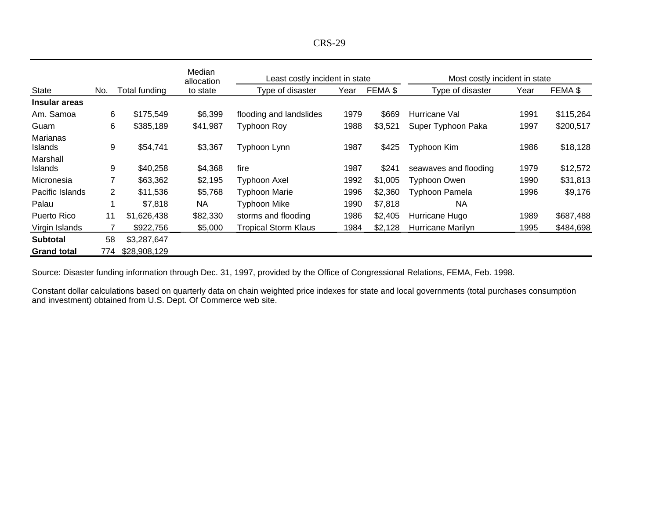| O<br>e. |
|---------|
|---------|

|                                   |     |               | Median<br>allocation | Least costly incident in state |      |         | Most costly incident in state |      |           |  |
|-----------------------------------|-----|---------------|----------------------|--------------------------------|------|---------|-------------------------------|------|-----------|--|
| <b>State</b>                      | No. | Total funding | to state             | Type of disaster               | Year | FEMA \$ | Type of disaster              | Year | FEMA \$   |  |
| Insular areas                     |     |               |                      |                                |      |         |                               |      |           |  |
| Am. Samoa                         | 6   | \$175,549     | \$6,399              | flooding and landslides        | 1979 | \$669   | Hurricane Val                 | 1991 | \$115,264 |  |
| Guam                              | 6   | \$385,189     | \$41,987             | <b>Typhoon Roy</b>             | 1988 | \$3,521 | Super Typhoon Paka            | 1997 | \$200,517 |  |
| <b>Marianas</b><br><b>Islands</b> | 9   | \$54,741      | \$3,367              | Typhoon Lynn                   | 1987 | \$425   | Typhoon Kim                   | 1986 | \$18,128  |  |
| Marshall<br><b>Islands</b>        | 9   | \$40,258      | \$4,368              | fire                           | 1987 | \$241   | seawaves and flooding         | 1979 | \$12,572  |  |
| Micronesia                        | 7   | \$63,362      | \$2,195              | Typhoon Axel                   | 1992 | \$1,005 | Typhoon Owen                  | 1990 | \$31,813  |  |
| Pacific Islands                   | 2   | \$11,536      | \$5,768              | <b>Typhoon Marie</b>           | 1996 | \$2,360 | <b>Typhoon Pamela</b>         | 1996 | \$9,176   |  |
| Palau                             |     | \$7,818       | <b>NA</b>            | <b>Typhoon Mike</b>            | 1990 | \$7,818 | <b>NA</b>                     |      |           |  |
| Puerto Rico                       | 11  | \$1,626,438   | \$82,330             | storms and flooding            | 1986 | \$2,405 | Hurricane Hugo                | 1989 | \$687,488 |  |
| Virgin Islands                    |     | \$922,756     | \$5,000              | <b>Tropical Storm Klaus</b>    | 1984 | \$2,128 | Hurricane Marilyn             | 1995 | \$484,698 |  |
| <b>Subtotal</b>                   | 58  | \$3,287,647   |                      |                                |      |         |                               |      |           |  |
| <b>Grand total</b>                | 774 | \$28,908,129  |                      |                                |      |         |                               |      |           |  |

Source: Disaster funding information through Dec. 31, 1997, provided by the Office of Congressional Relations, FEMA, Feb. 1998.

Constant dollar calculations based on quarterly data on chain weighted price indexes for state and local governments (total purchases consumption and investment) obtained from U.S. Dept. Of Commerce web site.